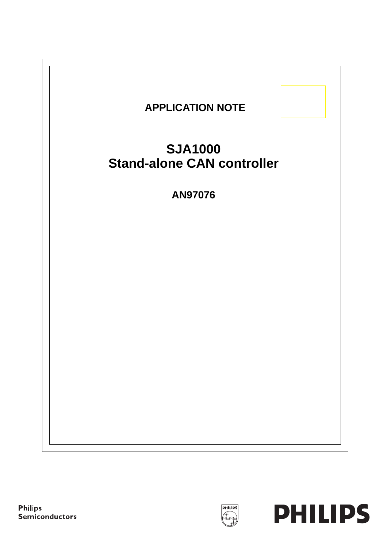



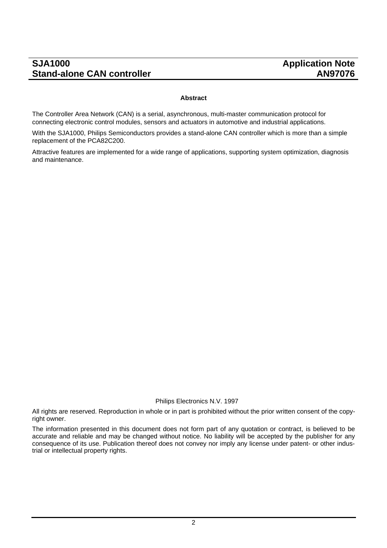#### **Abstract**

The Controller Area Network (CAN) is a serial, asynchronous, multi-master communication protocol for connecting electronic control modules, sensors and actuators in automotive and industrial applications.

With the SJA1000, Philips Semiconductors provides a stand-alone CAN controller which is more than a simple replacement of the PCA82C200.

Attractive features are implemented for a wide range of applications, supporting system optimization, diagnosis and maintenance.

Philips Electronics N.V. 1997

All rights are reserved. Reproduction in whole or in part is prohibited without the prior written consent of the copyright owner.

The information presented in this document does not form part of any quotation or contract, is believed to be accurate and reliable and may be changed without notice. No liability will be accepted by the publisher for any consequence of its use. Publication thereof does not convey nor imply any license under patent- or other industrial or intellectual property rights.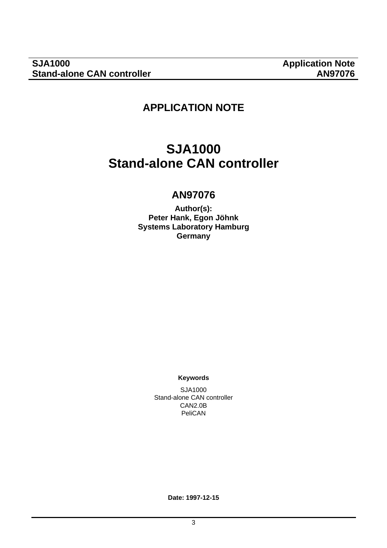# **APPLICATION NOTE**

# **SJA1000 Stand-alone CAN controller**

# **AN97076**

**Author(s): Peter Hank, Egon Jöhnk Systems Laboratory Hamburg Germany**

**Keywords**

SJA1000 Stand-alone CAN controller CAN2.0B PeliCAN

**Date: 1997-12-15**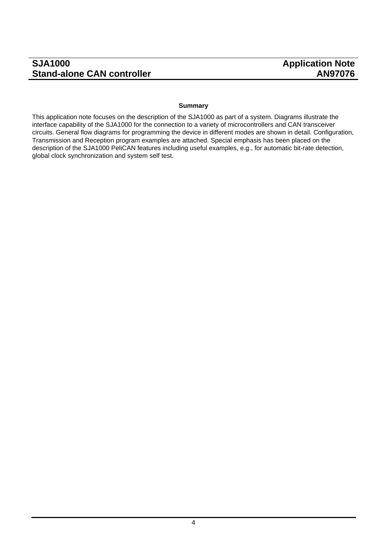#### **Summary**

This application note focuses on the description of the SJA1000 as part of a system. Diagrams illustrate the interface capability of the SJA1000 for the connection to a variety of microcontrollers and CAN transceiver circuits. General flow diagrams for programming the device in different modes are shown in detail. Configuration, Transmission and Reception program examples are attached. Special emphasis has been placed on the description of the SJA1000 PeliCAN features including useful examples, e.g., for automatic bit-rate detection, global clock synchronization and system self test.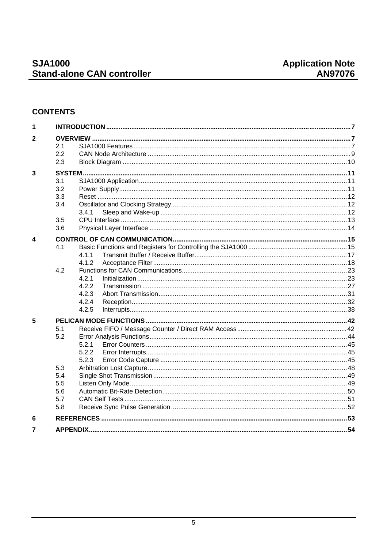### **CONTENTS**

| 1            |            |       |  |
|--------------|------------|-------|--|
| $\mathbf{2}$ |            |       |  |
|              | 2.1        |       |  |
|              | 2.2        |       |  |
|              | 2.3        |       |  |
| 3            |            |       |  |
|              | 3.1        |       |  |
|              | 3.2        |       |  |
|              | 3.3        |       |  |
|              | 3.4        |       |  |
|              |            | 3.4.1 |  |
|              | 3.5        |       |  |
|              | 3.6        |       |  |
| 4            |            |       |  |
|              | 4.1        |       |  |
|              |            | 4.1.1 |  |
|              |            | 4.1.2 |  |
|              | 4.2        |       |  |
|              |            | 4.2.1 |  |
|              |            | 4.2.2 |  |
|              |            | 4.2.3 |  |
|              |            | 4.2.4 |  |
|              |            | 4.2.5 |  |
| 5            |            |       |  |
|              | 5.1        |       |  |
|              | 5.2        |       |  |
|              |            | 5.2.1 |  |
|              |            | 5.2.2 |  |
|              |            | 5.2.3 |  |
|              | 5.3        |       |  |
|              | 5.4        |       |  |
|              | 5.5        |       |  |
|              | 5.6        |       |  |
|              | 5.7<br>5.8 |       |  |
|              |            |       |  |
| 6            |            |       |  |
| 7            |            |       |  |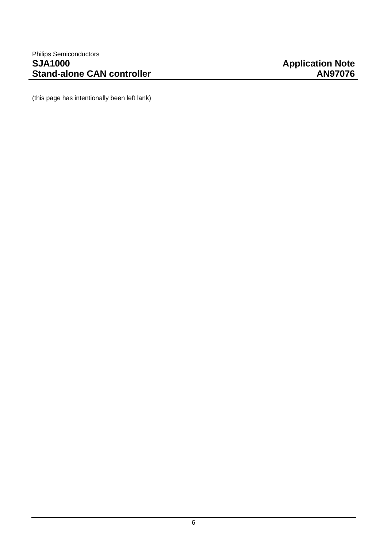(this page has intentionally been left lank)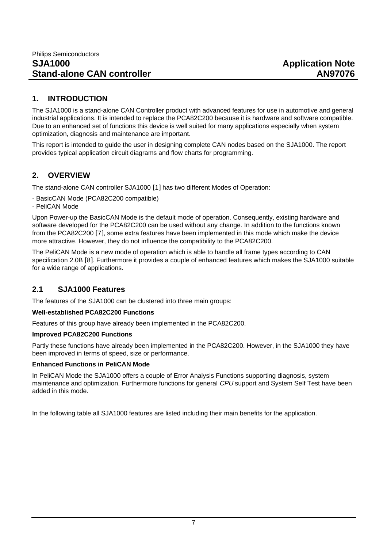#### **1. INTRODUCTION**

The SJA1000 is a stand-alone CAN Controller product with advanced features for use in automotive and general industrial applications. It is intended to replace the PCA82C200 because it is hardware and software compatible. Due to an enhanced set of functions this device is well suited for many applications especially when system optimization, diagnosis and maintenance are important.

This report is intended to guide the user in designing complete CAN nodes based on the SJA1000. The report provides typical application circuit diagrams and flow charts for programming.

### **2. OVERVIEW**

The stand-alone CAN controller SJA1000 [1] has two different Modes of Operation:

- BasicCAN Mode (PCA82C200 compatible)
- PeliCAN Mode

Upon Power-up the BasicCAN Mode is the default mode of operation. Consequently, existing hardware and software developed for the PCA82C200 can be used without any change. In addition to the functions known from the PCA82C200 [7], some extra features have been implemented in this mode which make the device more attractive. However, they do not influence the compatibility to the PCA82C200.

The PeliCAN Mode is a new mode of operation which is able to handle all frame types according to CAN specification 2.0B [8]. Furthermore it provides a couple of enhanced features which makes the SJA1000 suitable for a wide range of applications.

### **2.1 SJA1000 Features**

The features of the SJA1000 can be clustered into three main groups:

#### **Well-established PCA82C200 Functions**

Features of this group have already been implemented in the PCA82C200.

#### **Improved PCA82C200 Functions**

Partly these functions have already been implemented in the PCA82C200. However, in the SJA1000 they have been improved in terms of speed, size or performance.

#### **Enhanced Functions in PeliCAN Mode**

In PeliCAN Mode the SJA1000 offers a couple of Error Analysis Functions supporting diagnosis, system maintenance and optimization. Furthermore functions for general CPU support and System Self Test have been added in this mode.

In the following table all SJA1000 features are listed including their main benefits for the application.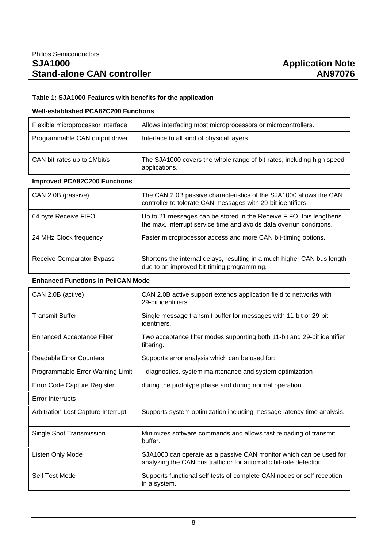### **Table 1: SJA1000 Features with benefits for the application**

#### **Well-established PCA82C200 Functions**

| Flexible microprocessor interface   | Allows interfacing most microprocessors or microcontrollers.                                                                               |
|-------------------------------------|--------------------------------------------------------------------------------------------------------------------------------------------|
| Programmable CAN output driver      | Interface to all kind of physical layers.                                                                                                  |
| CAN bit-rates up to 1Mbit/s         | The SJA1000 covers the whole range of bit-rates, including high speed<br>applications.                                                     |
| <b>Improved PCA82C200 Functions</b> |                                                                                                                                            |
| CAN 2.0B (passive)                  | The CAN 2.0B passive characteristics of the SJA1000 allows the CAN<br>controller to tolerate CAN messages with 29-bit identifiers.         |
| 64 byte Receive FIFO                | Up to 21 messages can be stored in the Receive FIFO, this lengthens<br>the max. interrupt service time and avoids data overrun conditions. |
| 24 MHz Clock frequency              | Faster microprocessor access and more CAN bit-timing options.                                                                              |
| Receive Comparator Bypass           | Shortens the internal delays, resulting in a much higher CAN bus length<br>due to an improved bit-timing programming.                      |

#### **Enhanced Functions in PeliCAN Mode**

| CAN 2.0B (active)                         | CAN 2.0B active support extends application field to networks with<br>29-bit identifiers.                                                |  |  |  |  |
|-------------------------------------------|------------------------------------------------------------------------------------------------------------------------------------------|--|--|--|--|
| <b>Transmit Buffer</b>                    | Single message transmit buffer for messages with 11-bit or 29-bit<br>identifiers.                                                        |  |  |  |  |
| <b>Enhanced Acceptance Filter</b>         | Two acceptance filter modes supporting both 11-bit and 29-bit identifier<br>filtering.                                                   |  |  |  |  |
| <b>Readable Error Counters</b>            | Supports error analysis which can be used for:                                                                                           |  |  |  |  |
| Programmable Error Warning Limit          | - diagnostics, system maintenance and system optimization                                                                                |  |  |  |  |
| Error Code Capture Register               | during the prototype phase and during normal operation.                                                                                  |  |  |  |  |
| <b>Error Interrupts</b>                   |                                                                                                                                          |  |  |  |  |
| <b>Arbitration Lost Capture Interrupt</b> | Supports system optimization including message latency time analysis.                                                                    |  |  |  |  |
| Single Shot Transmission                  | Minimizes software commands and allows fast reloading of transmit<br>buffer.                                                             |  |  |  |  |
| Listen Only Mode                          | SJA1000 can operate as a passive CAN monitor which can be used for<br>analyzing the CAN bus traffic or for automatic bit-rate detection. |  |  |  |  |
| Self Test Mode                            | Supports functional self tests of complete CAN nodes or self reception<br>in a system.                                                   |  |  |  |  |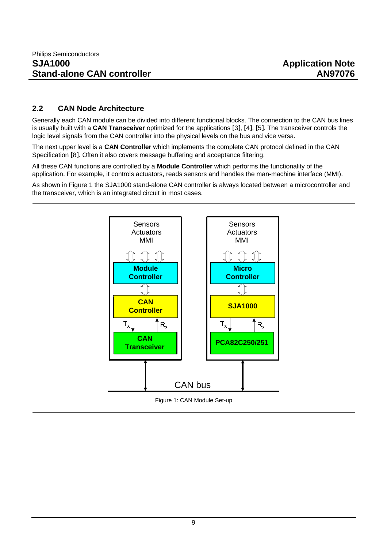### **2.2 CAN Node Architecture**

Generally each CAN module can be divided into different functional blocks. The connection to the CAN bus lines is usually built with a **CAN Transceiver** optimized for the applications [3], [4], [5]. The transceiver controls the logic level signals from the CAN controller into the physical levels on the bus and vice versa.

The next upper level is a **CAN Controller** which implements the complete CAN protocol defined in the CAN Specification [8]. Often it also covers message buffering and acceptance filtering.

All these CAN functions are controlled by a **Module Controller** which performs the functionality of the application. For example, it controls actuators, reads sensors and handles the man-machine interface (MMI).

As shown in Figure 1 the SJA1000 stand-alone CAN controller is always located between a microcontroller and the transceiver, which is an integrated circuit in most cases.

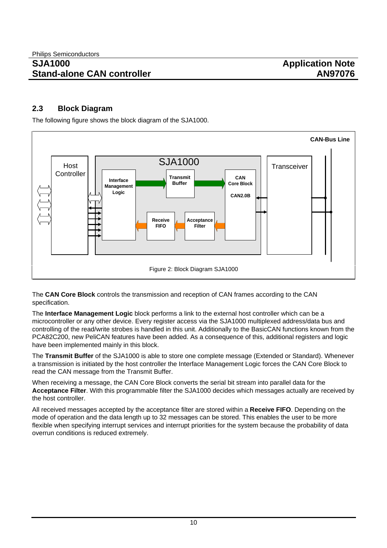#### **2.3 Block Diagram**

The following figure shows the block diagram of the SJA1000.



The **CAN Core Block** controls the transmission and reception of CAN frames according to the CAN specification.

The **Interface Management Logic** block performs a link to the external host controller which can be a microcontroller or any other device. Every register access via the SJA1000 multiplexed address/data bus and controlling of the read/write strobes is handled in this unit. Additionally to the BasicCAN functions known from the PCA82C200, new PeliCAN features have been added. As a consequence of this, additional registers and logic have been implemented mainly in this block.

The **Transmit Buffer** of the SJA1000 is able to store one complete message (Extended or Standard). Whenever a transmission is initiated by the host controller the Interface Management Logic forces the CAN Core Block to read the CAN message from the Transmit Buffer.

When receiving a message, the CAN Core Block converts the serial bit stream into parallel data for the **Acceptance Filter**. With this programmable filter the SJA1000 decides which messages actually are received by the host controller.

All received messages accepted by the acceptance filter are stored within a **Receive FIFO**. Depending on the mode of operation and the data length up to 32 messages can be stored. This enables the user to be more flexible when specifying interrupt services and interrupt priorities for the system because the probability of data overrun conditions is reduced extremely.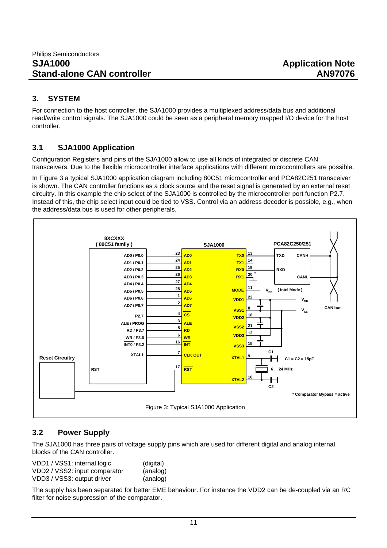### **3. SYSTEM**

For connection to the host controller, the SJA1000 provides a multiplexed address/data bus and additional read/write control signals. The SJA1000 could be seen as a peripheral memory mapped I/O device for the host controller.

### **3.1 SJA1000 Application**

Configuration Registers and pins of the SJA1000 allow to use all kinds of integrated or discrete CAN transceivers. Due to the flexible microcontroller interface applications with different microcontrollers are possible.

In Figure 3 a typical SJA1000 application diagram including 80C51 microcontroller and PCA82C251 transceiver is shown. The CAN controller functions as a clock source and the reset signal is generated by an external reset circuitry. In this example the chip select of the SJA1000 is controlled by the microcontroller port function P2.7. Instead of this, the chip select input could be tied to VSS. Control via an address decoder is possible, e.g., when the address/data bus is used for other peripherals.



### **3.2 Power Supply**

The SJA1000 has three pairs of voltage supply pins which are used for different digital and analog internal blocks of the CAN controller.

| VDD1 / VSS1: internal logic   | (digital) |
|-------------------------------|-----------|
| VDD2 / VSS2: input comparator | (analog)  |
| VDD3 / VSS3: output driver    | (analog)  |

The supply has been separated for better EME behaviour. For instance the VDD2 can be de-coupled via an RC filter for noise suppression of the comparator.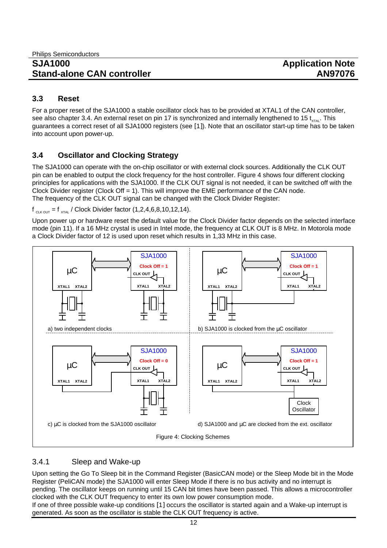#### **3.3 Reset**

For a proper reset of the SJA1000 a stable oscillator clock has to be provided at XTAL1 of the CAN controller, see also chapter 3.4. An external reset on pin 17 is synchronized and internally lengthened to 15 t<sub>yral</sub>. This guarantees a correct reset of all SJA1000 registers (see [1]). Note that an oscillator start-up time has to be taken into account upon power-up.

### **3.4 Oscillator and Clocking Strategy**

The SJA1000 can operate with the on-chip oscillator or with external clock sources. Additionally the CLK OUT pin can be enabled to output the clock frequency for the host controller. Figure 4 shows four different clocking principles for applications with the SJA1000. If the CLK OUT signal is not needed, it can be switched off with the Clock Divider register (Clock Off  $= 1$ ). This will improve the EME performance of the CAN node. The frequency of the CLK OUT signal can be changed with the Clock Divider Register:

 $f_{C(K) \text{UT}} = f_{XTAI}$  / Clock Divider factor  $(1,2,4,6,8,10,12,14)$ .

Upon power up or hardware reset the default value for the Clock Divider factor depends on the selected interface mode (pin 11). If a 16 MHz crystal is used in Intel mode, the frequency at CLK OUT is 8 MHz. In Motorola mode a Clock Divider factor of 12 is used upon reset which results in 1,33 MHz in this case.



### 3.4.1 Sleep and Wake-up

Upon setting the Go To Sleep bit in the Command Register (BasicCAN mode) or the Sleep Mode bit in the Mode Register (PeliCAN mode) the SJA1000 will enter Sleep Mode if there is no bus activity and no interrupt is pending. The oscillator keeps on running until 15 CAN bit times have been passed. This allows a microcontroller clocked with the CLK OUT frequency to enter its own low power consumption mode.

If one of three possible wake-up conditions [1] occurs the oscillator is started again and a Wake-up interrupt is generated. As soon as the oscillator is stable the CLK OUT frequency is active.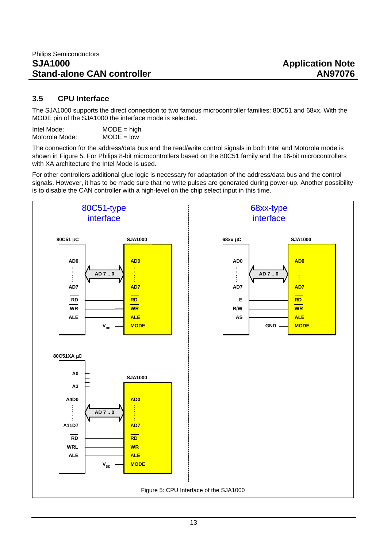#### **3.5 CPU Interface**

The SJA1000 supports the direct connection to two famous microcontroller families: 80C51 and 68xx. With the MODE pin of the SJA1000 the interface mode is selected.

Intel Mode: MODE = high Motorola Mode: MODE = low

The connection for the address/data bus and the read/write control signals in both Intel and Motorola mode is shown in Figure 5. For Philips 8-bit microcontrollers based on the 80C51 family and the 16-bit microcontrollers with XA architecture the Intel Mode is used.

For other controllers additional glue logic is necessary for adaptation of the address/data bus and the control signals. However, it has to be made sure that no write pulses are generated during power-up. Another possibility is to disable the CAN controller with a high-level on the chip select input in this time.

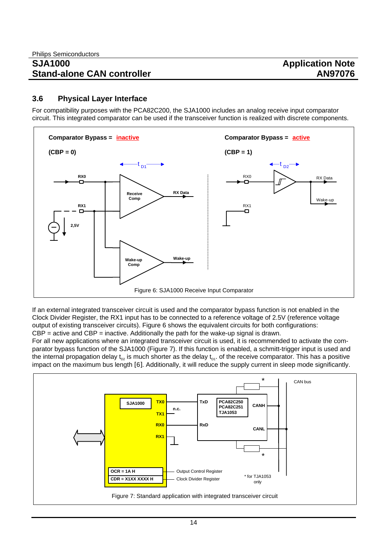#### **3.6 Physical Layer Interface**

For compatibility purposes with the PCA82C200, the SJA1000 includes an analog receive input comparator circuit. This integrated comparator can be used if the transceiver function is realized with discrete components.



If an external integrated transceiver circuit is used and the comparator bypass function is not enabled in the Clock Divider Register, the RX1 input has to be connected to a reference voltage of 2.5V (reference voltage output of existing transceiver circuits). Figure 6 shows the equivalent circuits for both configurations:  $CBP =$  active and  $CBP =$  inactive. Additionally the path for the wake-up signal is drawn.

For all new applications where an integrated transceiver circuit is used, it is recommended to activate the comparator bypass function of the SJA1000 (Figure 7). If this function is enabled, a schmitt-trigger input is used and the internal propagation delay  $t_{p2}$  is much shorter as the delay  $t_{p1}$ . of the receive comparator. This has a positive impact on the maximum bus length [6]. Additionally, it will reduce the supply current in sleep mode significantly.

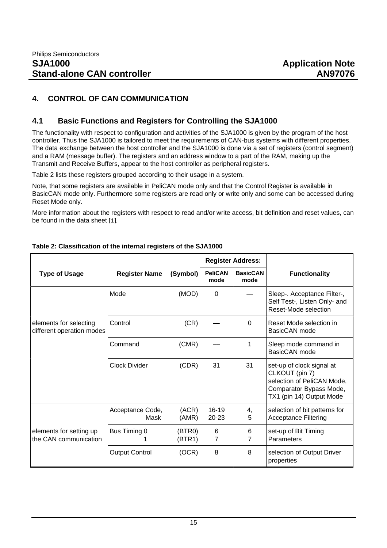### **4. CONTROL OF CAN COMMUNICATION**

#### **4.1 Basic Functions and Registers for Controlling the SJA1000**

The functionality with respect to configuration and activities of the SJA1000 is given by the program of the host controller. Thus the SJA1000 is tailored to meet the requirements of CAN-bus systems with different properties. The data exchange between the host controller and the SJA1000 is done via a set of registers (control segment) and a RAM (message buffer). The registers and an address window to a part of the RAM, making up the Transmit and Receive Buffers, appear to the host controller as peripheral registers.

Table 2 lists these registers grouped according to their usage in a system.

Note, that some registers are available in PeliCAN mode only and that the Control Register is available in BasicCAN mode only. Furthermore some registers are read only or write only and some can be accessed during Reset Mode only.

More information about the registers with respect to read and/or write access, bit definition and reset values, can be found in the data sheet [1].

|                                                     |                          |                  | <b>Register Address:</b> |                         |                                                                                                                                  |
|-----------------------------------------------------|--------------------------|------------------|--------------------------|-------------------------|----------------------------------------------------------------------------------------------------------------------------------|
| <b>Type of Usage</b>                                | <b>Register Name</b>     | (Symbol)         | <b>PeliCAN</b><br>mode   | <b>BasicCAN</b><br>mode | <b>Functionality</b>                                                                                                             |
|                                                     | Mode                     | (MOD)            | 0                        |                         | Sleep-. Acceptance Filter-,<br>Self Test-, Listen Only- and<br>Reset-Mode selection                                              |
| elements for selecting<br>different operation modes | Control                  | (CR)             |                          | $\Omega$                | Reset Mode selection in<br>BasicCAN mode                                                                                         |
|                                                     | Command                  | (CMR)            |                          | 1                       | Sleep mode command in<br>BasicCAN mode                                                                                           |
|                                                     | Clock Divider            | (CDR)            | 31                       | 31                      | set-up of clock signal at<br>CLKOUT (pin 7)<br>selection of PeliCAN Mode,<br>Comparator Bypass Mode,<br>TX1 (pin 14) Output Mode |
|                                                     | Acceptance Code,<br>Mask | (ACR)<br>(AMR)   | $16-19$<br>20-23         | 4,<br>5                 | selection of bit patterns for<br><b>Acceptance Filtering</b>                                                                     |
| elements for setting up<br>the CAN communication    | Bus Timing 0             | (BTR0)<br>(BTR1) | 6<br>7                   | 6<br>7                  | set-up of Bit Timing<br>Parameters                                                                                               |
|                                                     | <b>Output Control</b>    | (OCR)            | 8                        | 8                       | selection of Output Driver<br>properties                                                                                         |

#### **Table 2: Classification of the internal registers of the SJA1000**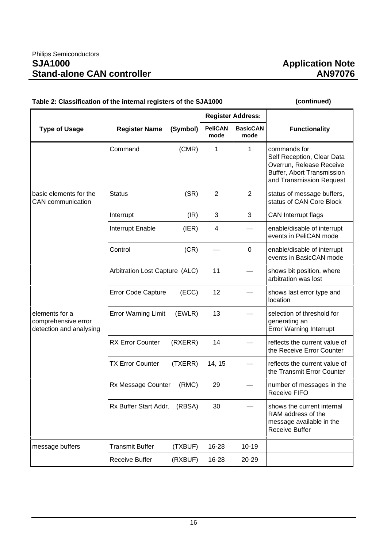| rable 2. Glassification of the internal registers of the SJA T000 | $\mu$                          |                                                                                                    |                        |                          |                                                                                                                                         |  |
|-------------------------------------------------------------------|--------------------------------|----------------------------------------------------------------------------------------------------|------------------------|--------------------------|-----------------------------------------------------------------------------------------------------------------------------------------|--|
|                                                                   |                                |                                                                                                    |                        | <b>Register Address:</b> |                                                                                                                                         |  |
| <b>Type of Usage</b>                                              | <b>Register Name</b>           | (Symbol)                                                                                           | <b>PeliCAN</b><br>mode | <b>BasicCAN</b><br>mode  | <b>Functionality</b>                                                                                                                    |  |
|                                                                   | Command                        | (CMR)                                                                                              | 1                      | 1                        | commands for<br>Self Reception, Clear Data<br>Overrun, Release Receive<br><b>Buffer, Abort Transmission</b><br>and Transmission Request |  |
| basic elements for the<br><b>CAN</b> communication                | <b>Status</b>                  | (SR)<br>$\overline{2}$<br>$\overline{2}$<br>status of message buffers,<br>status of CAN Core Block |                        |                          |                                                                                                                                         |  |
|                                                                   | Interrupt                      | (IR)                                                                                               | 3                      | 3                        | CAN Interrupt flags                                                                                                                     |  |
|                                                                   | Interrupt Enable               | (IER)                                                                                              | 4                      |                          | enable/disable of interrupt<br>events in PeliCAN mode                                                                                   |  |
|                                                                   | Control                        | (CR)                                                                                               |                        | $\mathbf 0$              | enable/disable of interrupt<br>events in BasicCAN mode                                                                                  |  |
|                                                                   | Arbitration Lost Capture (ALC) |                                                                                                    | 11                     |                          | shows bit position, where<br>arbitration was lost                                                                                       |  |
|                                                                   | <b>Error Code Capture</b>      | (ECC)                                                                                              | 12                     |                          | shows last error type and<br>location                                                                                                   |  |
| elements for a<br>comprehensive error<br>detection and analysing  | <b>Error Warning Limit</b>     | (EWLR)                                                                                             | 13                     |                          | selection of threshold for<br>generating an<br><b>Error Warning Interrupt</b>                                                           |  |
|                                                                   | <b>RX Error Counter</b>        | (RXERR)                                                                                            | 14                     |                          | reflects the current value of<br>the Receive Error Counter                                                                              |  |
|                                                                   | <b>TX Error Counter</b>        | (TXERR)                                                                                            | 14, 15                 |                          | reflects the current value of<br>the Transmit Error Counter                                                                             |  |
|                                                                   | Rx Message Counter             | (RMC)                                                                                              | 29                     |                          | number of messages in the<br>Receive FIFO                                                                                               |  |
|                                                                   | Rx Buffer Start Addr.          | (RBSA)                                                                                             | 30                     |                          | shows the current internal<br>RAM address of the<br>message available in the<br>Receive Buffer                                          |  |
| message buffers                                                   | <b>Transmit Buffer</b>         | (TXBUF)                                                                                            | 16-28                  | $10 - 19$                |                                                                                                                                         |  |
|                                                                   | Receive Buffer                 | (RXBUF)                                                                                            | 16-28                  | 20-29                    |                                                                                                                                         |  |

#### **Table 2: Classification of the internal registers of the SJA1000**

#### **(continued)**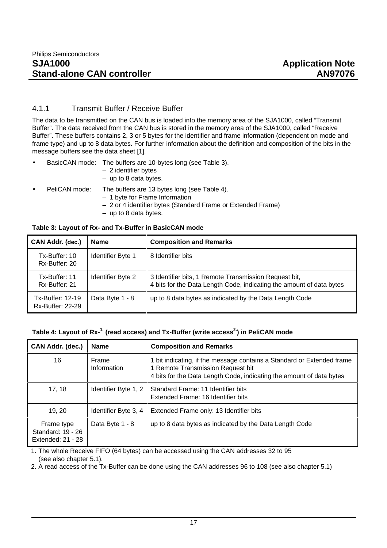#### 4.1.1 Transmit Buffer / Receive Buffer

The data to be transmitted on the CAN bus is loaded into the memory area of the SJA1000, called "Transmit Buffer". The data received from the CAN bus is stored in the memory area of the SJA1000, called "Receive Buffer". These buffers contains 2, 3 or 5 bytes for the identifier and frame information (dependent on mode and frame type) and up to 8 data bytes. For further information about the definition and composition of the bits in the message buffers see the data sheet [1].

- BasicCAN mode: The buffers are 10-bytes long (see Table 3).
	- 2 identifier bytes
	- up to 8 data bytes.
- PeliCAN mode: The buffers are 13 bytes long (see Table 4).
	- 1 byte for Frame Information
	- 2 or 4 identifier bytes (Standard Frame or Extended Frame)
	- up to 8 data bytes.

#### **Table 3: Layout of Rx- and Tx-Buffer in BasicCAN mode**

| CAN Addr. (dec.)                                   | <b>Name</b>              | <b>Composition and Remarks</b>                                                                                                |
|----------------------------------------------------|--------------------------|-------------------------------------------------------------------------------------------------------------------------------|
| Tx-Buffer: 10<br>Rx-Buffer: 20                     | <b>Identifier Byte 1</b> | 8 Identifier bits                                                                                                             |
| Tx-Buffer: 11<br>Rx-Buffer: 21                     | Identifier Byte 2        | 3 Identifier bits, 1 Remote Transmission Request bit,<br>4 bits for the Data Length Code, indicating the amount of data bytes |
| <b>Tx-Buffer: 12-19</b><br><b>Rx-Buffer: 22-29</b> | Data Byte 1 - 8          | up to 8 data bytes as indicated by the Data Length Code                                                                       |

#### Table 4: Layout of Rx-<sup>1.</sup> (read access) and Tx-Buffer (write access<sup>2</sup>) in PeliCAN mode

| CAN Addr. (dec.)                                     | <b>Name</b>          | <b>Composition and Remarks</b>                                                                                                                                                      |
|------------------------------------------------------|----------------------|-------------------------------------------------------------------------------------------------------------------------------------------------------------------------------------|
| 16                                                   | Frame<br>Information | 1 bit indicating, if the message contains a Standard or Extended frame<br>1 Remote Transmission Request bit<br>4 bits for the Data Length Code, indicating the amount of data bytes |
| 17, 18                                               | Identifier Byte 1, 2 | Standard Frame: 11 Identifier bits<br>Extended Frame: 16 Identifier bits                                                                                                            |
| 19.20                                                | Identifier Byte 3, 4 | Extended Frame only: 13 Identifier bits                                                                                                                                             |
| Frame type<br>Standard: 19 - 26<br>Extended: 21 - 28 | Data Byte 1 - 8      | up to 8 data bytes as indicated by the Data Length Code                                                                                                                             |

1. The whole Receive FIFO (64 bytes) can be accessed using the CAN addresses 32 to 95 (see also chapter 5.1).

2. A read access of the Tx-Buffer can be done using the CAN addresses 96 to 108 (see also chapter 5.1)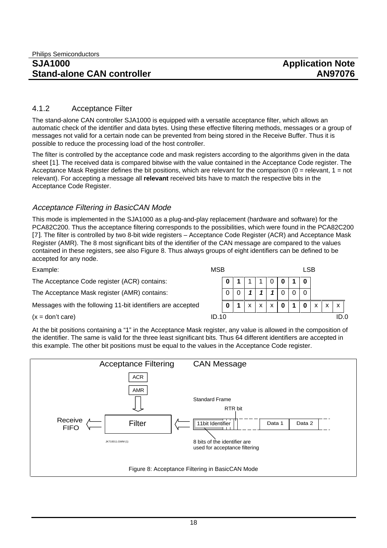#### 4.1.2 Acceptance Filter

The stand-alone CAN controller SJA1000 is equipped with a versatile acceptance filter, which allows an automatic check of the identifier and data bytes. Using these effective filtering methods, messages or a group of messages not valid for a certain node can be prevented from being stored in the Receive Buffer. Thus it is possible to reduce the processing load of the host controller.

The filter is controlled by the acceptance code and mask registers according to the algorithms given in the data sheet [1]. The received data is compared bitwise with the value contained in the Acceptance Code register. The Acceptance Mask Register defines the bit positions, which are relevant for the comparison ( $0 =$  relevant,  $1 =$  not relevant). For accepting a message all **relevant** received bits have to match the respective bits in the Acceptance Code Register.

### Acceptance Filtering in BasicCAN Mode

This mode is implemented in the SJA1000 as a plug-and-play replacement (hardware and software) for the PCA82C200. Thus the acceptance filtering corresponds to the possibilities, which were found in the PCA82C200 [7]. The filter is controlled by two 8-bit wide registers – Acceptance Code Register (ACR) and Acceptance Mask Register (AMR). The 8 most significant bits of the identifier of the CAN message are compared to the values contained in these registers, see also Figure 8. Thus always groups of eight identifiers can be defined to be accepted for any node.

| Example:                                                    |       | <b>MSB</b> |                           |              |              |              | <b>LSB</b>   |              |                           |              |  |
|-------------------------------------------------------------|-------|------------|---------------------------|--------------|--------------|--------------|--------------|--------------|---------------------------|--------------|--|
| The Acceptance Code register (ACR) contains:                |       |            |                           |              |              |              |              |              |                           |              |  |
| The Acceptance Mask register (AMR) contains:                |       |            |                           |              |              |              |              |              |                           |              |  |
| Messages with the following 11-bit identifiers are accepted |       |            | $\boldsymbol{\mathsf{x}}$ | $\mathbf{x}$ | $\mathsf{x}$ | $\mathbf{0}$ | $\mathbf{0}$ | $\mathsf{X}$ | $\boldsymbol{\mathsf{x}}$ | $\mathsf{X}$ |  |
| $(x = don't care)$                                          | ID.10 |            |                           |              |              |              |              |              |                           | ID.0         |  |

At the bit positions containing a "1" in the Acceptance Mask register, any value is allowed in the composition of the identifier. The same is valid for the three least significant bits. Thus 64 different identifiers are accepted in this example. The other bit positions must be equal to the values in the Acceptance Code register.

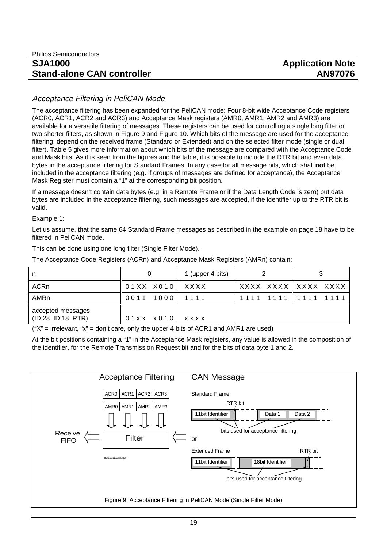#### Acceptance Filtering in PeliCAN Mode

The acceptance filtering has been expanded for the PeliCAN mode: Four 8-bit wide Acceptance Code registers (ACR0, ACR1, ACR2 and ACR3) and Acceptance Mask registers (AMR0, AMR1, AMR2 and AMR3) are available for a versatile filtering of messages. These registers can be used for controlling a single long filter or two shorter filters, as shown in Figure 9 and Figure 10. Which bits of the message are used for the acceptance filtering, depend on the received frame (Standard or Extended) and on the selected filter mode (single or dual filter). Table 5 gives more information about which bits of the message are compared with the Acceptance Code and Mask bits. As it is seen from the figures and the table, it is possible to include the RTR bit and even data bytes in the acceptance filtering for Standard Frames. In any case for all message bits, which shall **not** be included in the acceptance filtering (e.g. if groups of messages are defined for acceptance), the Acceptance Mask Register must contain a "1" at the corresponding bit position.

If a message doesn't contain data bytes (e.g. in a Remote Frame or if the Data Length Code is zero) but data bytes are included in the acceptance filtering, such messages are accepted, if the identifier up to the RTR bit is valid.

#### Example 1:

Let us assume, that the same 64 Standard Frame messages as described in the example on page 18 have to be filtered in PeliCAN mode.

This can be done using one long filter (Single Filter Mode).

| 1 (upper 4 bits) |                                                               |                                                                                                                                                                                                                       |
|------------------|---------------------------------------------------------------|-----------------------------------------------------------------------------------------------------------------------------------------------------------------------------------------------------------------------|
|                  |                                                               |                                                                                                                                                                                                                       |
|                  |                                                               |                                                                                                                                                                                                                       |
|                  |                                                               |                                                                                                                                                                                                                       |
|                  | 01XX X010 XXXX<br>0011 1000 11111<br>$01xx \times 010$ $xxxx$ | XXXX XXXX   XXXX XXXX<br>1111 1111 1111 1111<br>$\mu_{\rm UV} = \mu_{\rm N} = 1$ and $\mu_{\rm UV} = 1$ and $\mu_{\rm N} = 1$ and $\mu_{\rm N} = 1$ and $\mu_{\rm N} = 1$ and $\mu_{\rm N} = 1$ and $\mu_{\rm N} = 1$ |

The Acceptance Code Registers (ACRn) and Acceptance Mask Registers (AMRn) contain:

("X" = irrelevant, "x" = don't care, only the upper 4 bits of ACR1 and AMR1 are used)

At the bit positions containing a "1" in the Acceptance Mask registers, any value is allowed in the composition of the identifier, for the Remote Transmission Request bit and for the bits of data byte 1 and 2.

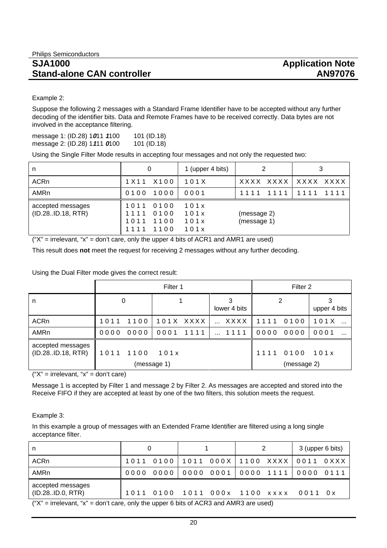Example 2:

Suppose the following 2 messages with a Standard Frame Identifier have to be accepted without any further decoding of the identifier bits. Data and Remote Frames have to be received correctly. Data bytes are not involved in the acceptance filtering.

message 1: (ID.28) 1**0**11 **1**100 101 (ID.18) message 2: (ID.28) 1**1**11 **0**100 101 (ID.18)

Using the Single Filter Mode results in accepting four messages and not only the requested two:

| n                                       | 0                                                            | 1 (upper 4 bits)             |                            | 3                     |  |  |
|-----------------------------------------|--------------------------------------------------------------|------------------------------|----------------------------|-----------------------|--|--|
| <b>ACRn</b>                             | 1 X 1 1 X 1 0 0                                              | 101X                         |                            | XXXX XXXX   XXXX XXXX |  |  |
| AMRn                                    | 1000<br>0100                                                 | 0001                         | 1111<br>1111               | 1111<br>1111          |  |  |
| accepted messages<br>(ID.28.1D.18, RTR) | 1011<br>0100<br>0100<br>1111<br>1100<br>1011<br>1100<br>1111 | 101x<br>101x<br>101x<br>101x | (message 2)<br>(message 1) |                       |  |  |

 $('X" = irrelevant, 'x" = don't care, only the upper 4 bits of ACR1 and AMR1 are used)$ 

This result does **not** meet the request for receiving 2 messages without any further decoding.

Using the Dual Filter mode gives the correct result:

|                                         |              | Filter 1     | Filter <sub>2</sub> |              |                   |  |  |  |  |
|-----------------------------------------|--------------|--------------|---------------------|--------------|-------------------|--|--|--|--|
| 0<br>n                                  |              |              | 3<br>lower 4 bits   | 2            | 3<br>upper 4 bits |  |  |  |  |
| <b>ACRn</b>                             | 1100<br>1011 | 101X XXXX    | XXXX                | 0100<br>1111 | 101X              |  |  |  |  |
| AMRn                                    | 0000<br>0000 | 0001<br>1111 | 1111                | 0000<br>0000 | 0001              |  |  |  |  |
| accepted messages<br>(ID.28.1D.18, RTR) | 1011<br>1100 | 101x         |                     | 0100<br>1111 | 101x              |  |  |  |  |
|                                         |              | (message 1)  | (message 2)         |              |                   |  |  |  |  |

 $("X" = irrelevant, "x" = don't care)$ 

Message 1 is accepted by Filter 1 and message 2 by Filter 2. As messages are accepted and stored into the Receive FIFO if they are accepted at least by one of the two filters, this solution meets the request.

#### Example 3:

In this example a group of messages with an Extended Frame Identifier are filtered using a long single acceptance filter.

| n                                     |      |                               |                                          | 3 (upper 6 bits) |
|---------------------------------------|------|-------------------------------|------------------------------------------|------------------|
| <b>ACRn</b>                           |      |                               | 1011 0100 1011 000X 11100 XXXX 0011 0XXX |                  |
| AMRn                                  | 0000 |                               | 0000 0000 0001 0000 1111 0000            | 0111             |
| accepted messages<br>(ID.28ID.0, RTR) |      | 1011 0100 1011 000x 1100 xxxx |                                          | 0011<br>0x       |

 $('X' = irrelevant, 'x' = don't care, only the upper 6 bits of ACR3 and AMR3 are used)$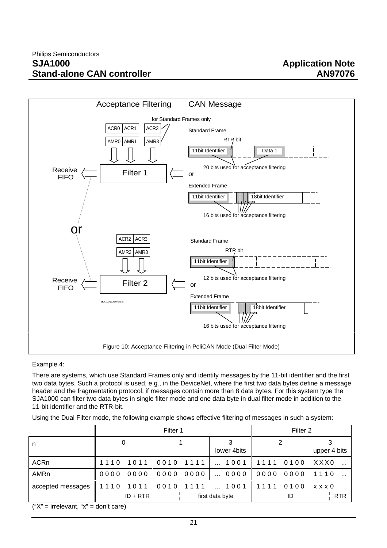# **Application Note AN97076**



#### Example 4:

There are systems, which use Standard Frames only and identify messages by the 11-bit identifier and the first two data bytes. Such a protocol is used, e.g., in the DeviceNet, where the first two data bytes define a message header and the fragmentation protocol, if messages contain more than 8 data bytes. For this system type the SJA1000 can filter two data bytes in single filter mode and one data byte in dual filter mode in addition to the 11-bit identifier and the RTR-bit.

Using the Dual Filter mode, the following example shows effective filtering of messages in such a system:

|                                                          |              | Filter 1     | Filter <sub>2</sub>  |              |                |  |
|----------------------------------------------------------|--------------|--------------|----------------------|--------------|----------------|--|
| n.                                                       | O            |              | lower 4bits          |              | upper 4 bits   |  |
| <b>ACRn</b>                                              | 1011<br>1110 | 0010<br>1111 | 1001                 | 0100<br>1111 | XXX0           |  |
| AMRn                                                     | 0000<br>0000 | 0000<br>0000 | 0000                 | 0000<br>0000 | 1110           |  |
| accepted messages                                        | 1110<br>1011 | 1111<br>0010 | 1001<br>$\mathbf{r}$ | 0100<br>1111 | $x \times x$ 0 |  |
|                                                          | $ID + RTR$   |              | first data byte      | ID           | <b>RTR</b>     |  |
| 165/11<br>الأردانا المصدر وبما ومستا<br>المعتمم المستملم |              |              |                      |              |                |  |

 $("X" = irrelevant, "X" = don't care)$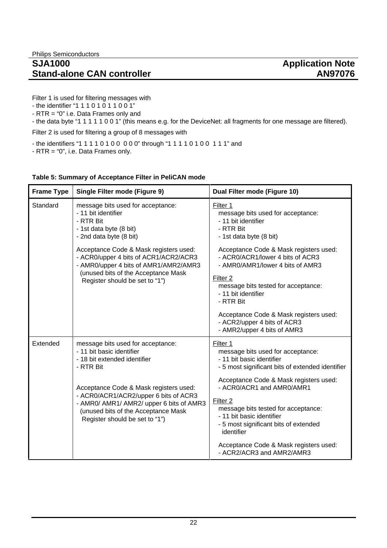Filter 1 is used for filtering messages with

- $-$  the identifier "1 1 1 0 1 0 1 1 0 0 1"
- RTR = "0" i.e. Data Frames only and

- the data byte "1 1 1 1 1 0 0 1" (this means e.g. for the DeviceNet: all fragments for one message are filtered).

Filter 2 is used for filtering a group of 8 messages with

- the identifiers "1 1 1 1 0 1 0 0 0 0 0" through "1 1 1 1 0 1 0 0 1 1 1" and

- RTR = "0", i.e. Data Frames only.

#### **Table 5: Summary of Acceptance Filter in PeliCAN mode**

| <b>Frame Type</b> | Single Filter mode (Figure 9)                                                                                                                                                                     | Dual Filter mode (Figure 10)                                                                                                                                                 |  |  |
|-------------------|---------------------------------------------------------------------------------------------------------------------------------------------------------------------------------------------------|------------------------------------------------------------------------------------------------------------------------------------------------------------------------------|--|--|
| Standard          | message bits used for acceptance:<br>- 11 bit identifier<br>- RTR Bit<br>- 1st data byte (8 bit)<br>- 2nd data byte (8 bit)                                                                       | Filter 1<br>message bits used for acceptance:<br>- 11 bit identifier<br>- RTR Bit<br>- 1st data byte (8 bit)                                                                 |  |  |
|                   | Acceptance Code & Mask registers used:<br>- ACR0/upper 4 bits of ACR1/ACR2/ACR3<br>- AMR0/upper 4 bits of AMR1/AMR2/AMR3<br>(unused bits of the Acceptance Mask<br>Register should be set to "1") | Acceptance Code & Mask registers used:<br>- ACR0/ACR1/lower 4 bits of ACR3<br>- AMR0/AMR1/lower 4 bits of AMR3<br>Filter <sub>2</sub><br>message bits tested for acceptance: |  |  |
|                   |                                                                                                                                                                                                   | - 11 bit identifier<br>- RTR Bit                                                                                                                                             |  |  |
|                   |                                                                                                                                                                                                   | Acceptance Code & Mask registers used:<br>- ACR2/upper 4 bits of ACR3<br>- AMR2/upper 4 bits of AMR3                                                                         |  |  |
| Extended          | message bits used for acceptance:<br>- 11 bit basic identifier<br>- 18 bit extended identifier<br>- RTR Bit                                                                                       | Filter 1<br>message bits used for acceptance:<br>- 11 bit basic identifier<br>- 5 most significant bits of extended identifier                                               |  |  |
|                   | Acceptance Code & Mask registers used:                                                                                                                                                            | Acceptance Code & Mask registers used:<br>- ACR0/ACR1 and AMR0/AMR1                                                                                                          |  |  |
|                   | - ACR0/ACR1/ACR2/upper 6 bits of ACR3<br>- AMR0/ AMR1/ AMR2/ upper 6 bits of AMR3<br>(unused bits of the Acceptance Mask<br>Register should be set to "1")                                        | Filter <sub>2</sub><br>message bits tested for acceptance:<br>- 11 bit basic identifier<br>- 5 most significant bits of extended<br>identifier                               |  |  |
|                   |                                                                                                                                                                                                   | Acceptance Code & Mask registers used:<br>- ACR2/ACR3 and AMR2/AMR3                                                                                                          |  |  |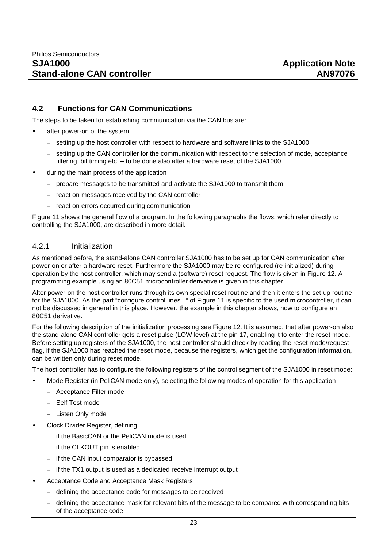#### **4.2 Functions for CAN Communications**

The steps to be taken for establishing communication via the CAN bus are:

- after power-on of the system
	- setting up the host controller with respect to hardware and software links to the SJA1000
	- setting up the CAN controller for the communication with respect to the selection of mode, acceptance filtering, bit timing etc. – to be done also after a hardware reset of the SJA1000
- during the main process of the application
	- prepare messages to be transmitted and activate the SJA1000 to transmit them
	- react on messages received by the CAN controller
	- react on errors occurred during communication

Figure 11 shows the general flow of a program. In the following paragraphs the flows, which refer directly to controlling the SJA1000, are described in more detail.

#### 4.2.1 Initialization

As mentioned before, the stand-alone CAN controller SJA1000 has to be set up for CAN communication after power-on or after a hardware reset. Furthermore the SJA1000 may be re-configured (re-initialized) during operation by the host controller, which may send a (software) reset request. The flow is given in Figure 12. A programming example using an 80C51 microcontroller derivative is given in this chapter.

After power-on the host controller runs through its own special reset routine and then it enters the set-up routine for the SJA1000. As the part "configure control lines..." of Figure 11 is specific to the used microcontroller, it can not be discussed in general in this place. However, the example in this chapter shows, how to configure an 80C51 derivative.

For the following description of the initialization processing see Figure 12. It is assumed, that after power-on also the stand-alone CAN controller gets a reset pulse (LOW level) at the pin 17, enabling it to enter the reset mode. Before setting up registers of the SJA1000, the host controller should check by reading the reset mode/request flag, if the SJA1000 has reached the reset mode, because the registers, which get the configuration information, can be written only during reset mode.

The host controller has to configure the following registers of the control segment of the SJA1000 in reset mode:

- Mode Register (in PeliCAN mode only), selecting the following modes of operation for this application
	- Acceptance Filter mode
	- Self Test mode
	- Listen Only mode
- Clock Divider Register, defining
	- if the BasicCAN or the PeliCAN mode is used
	- if the CLKOUT pin is enabled
	- if the CAN input comparator is bypassed
	- if the TX1 output is used as a dedicated receive interrupt output
- Acceptance Code and Acceptance Mask Registers
	- defining the acceptance code for messages to be received
	- defining the acceptance mask for relevant bits of the message to be compared with corresponding bits of the acceptance code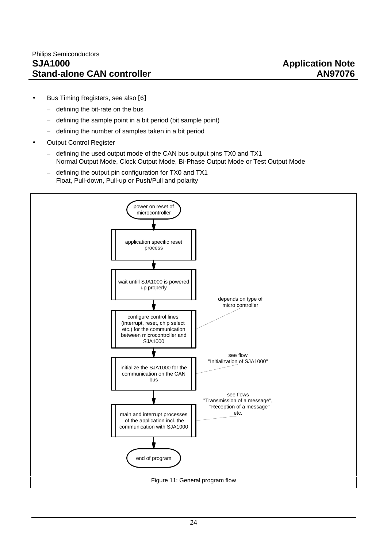- Bus Timing Registers, see also [6]
	- defining the bit-rate on the bus
	- defining the sample point in a bit period (bit sample point)
	- defining the number of samples taken in a bit period
- **Output Control Register** 
	- defining the used output mode of the CAN bus output pins TX0 and TX1 Normal Output Mode, Clock Output Mode, Bi-Phase Output Mode or Test Output Mode
	- defining the output pin configuration for TX0 and TX1 Float, Pull-down, Pull-up or Push/Pull and polarity

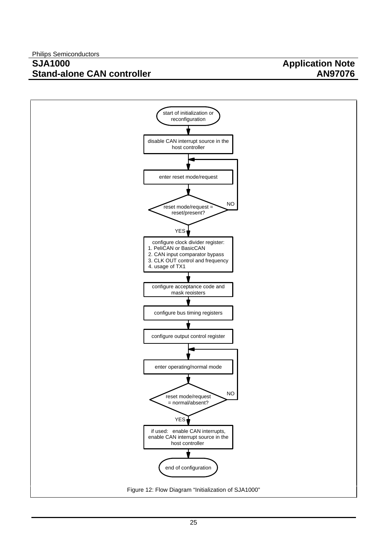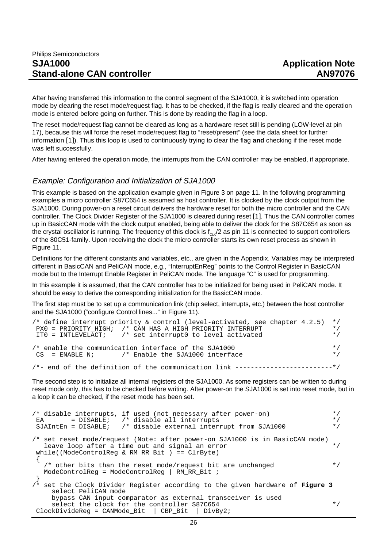After having transferred this information to the control segment of the SJA1000, it is switched into operation mode by clearing the reset mode/request flag. It has to be checked, if the flag is really cleared and the operation mode is entered before going on further. This is done by reading the flag in a loop.

The reset mode/request flag cannot be cleared as long as a hardware reset still is pending (LOW-level at pin 17), because this will force the reset mode/request flag to "reset/present" (see the data sheet for further information [1]). Thus this loop is used to continuously trying to clear the flag **and** checking if the reset mode was left successfully.

After having entered the operation mode, the interrupts from the CAN controller may be enabled, if appropriate.

#### Example: Configuration and Initialization of SJA1000

This example is based on the application example given in Figure 3 on page 11. In the following programming examples a micro controller S87C654 is assumed as host controller. It is clocked by the clock output from the SJA1000. During power-on a reset circuit delivers the hardware reset for both the micro controller and the CAN controller. The Clock Divider Register of the SJA1000 is cleared during reset [1]. Thus the CAN controller comes up in BasicCAN mode with the clock output enabled, being able to deliver the clock for the S87C654 as soon as the crystal oscillator is running. The frequency of this clock is  $f_{CK}/2$  as pin 11 is connected to support controllers of the 80C51-family. Upon receiving the clock the micro controller starts its own reset process as shown in Figure 11.

Definitions for the different constants and variables, etc., are given in the Appendix. Variables may be interpreted different in BasicCAN and PeliCAN mode, e.g., "InterruptEnReg" points to the Control Register in BasicCAN mode but to the Interrupt Enable Register in PeliCAN mode. The language "C" is used for programming.

In this example it is assumed, that the CAN controller has to be initialized for being used in PeliCAN mode. It should be easy to derive the corresponding initialization for the BasicCAN mode.

The first step must be to set up a communication link (chip select, interrupts, etc.) between the host controller and the SJA1000 ("configure Control lines..." in Figure 11).

```
/* define interrupt priority & control (level-activated, see chapter 4.2.5) */<br>PX0 = PRIORITY HIGH; /* CAN HAS A HIGH PRIORITY INTERRUPT */
PX0 = PRIORITY_HIGH; /* CAN HAS A HIGH PRIORITY INTERRUPT */
 IT0 = INTLEVELACT; /* set interrupt0 to level activated */
/* enable the communication interface of the SJA1000 \gamma<br>CS = ENABLE N; \gamma Enable the SJA1000 interface \gamma/* Enable the SJA1000 interface
/*- end of the definition of the communication link ------------------------*/
```
The second step is to initialize all internal registers of the SJA1000. As some registers can be written to during reset mode only, this has to be checked before writing. After power-on the SJA1000 is set into reset mode, but in a loop it can be checked, if the reset mode has been set.

```
/* disable interrupts, if used (not necessary after power-on) */<br>F_A = DISARLE: /* disable all interrupts
EA = DISABLE; /* disable all interrupts<br>SJAIntEn = DISABLE; /* disable external interrupt from SJA1000 */
                        /* disable external interrupt from SJA1000
/* set reset mode/request (Note: after power-on SJA1000 is in BasicCAN mode)
   leave loop after a time out and signal an error \frac{x}{1+x} */
while((ModeControlReq & RM_RR_Bit ) == ClrByte)
 {
   \frac{1}{x} other bits than the reset mode/request bit are unchanged \frac{x}{x} ModeControlReg = ModeControlReg | RM_RR_Bit ;
 }
/* set the Clock Divider Register according to the given hardware of Figure 3
      select PeliCAN mode
      bypass CAN input comparator as external transceiver is used
     select the clock for the controller S87C654 */<br>kDivideReq = CANMode Bit | CBP Bit | DivBy2;
ClockDivideReg = CAMMode Bit
```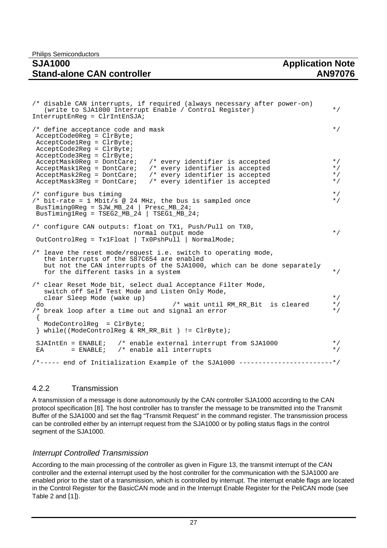| /* disable CAN interrupts, if required (always necessary after power-on)<br>(write to SJA1000 Interrupt Enable / Control Register)<br>$InterruptEnReq = ClrIntEnSJA;$                                                                                         | $\star$ /                                    |
|---------------------------------------------------------------------------------------------------------------------------------------------------------------------------------------------------------------------------------------------------------------|----------------------------------------------|
| /* define acceptance code and mask<br>$AcceptCode0$ Req = $ClrByte$ ;<br>$AcceptCode1Reg = ClrByte;$<br>$AcceptCode2Reg = ClrByte;$<br>$AcceptCode3Reg = ClrByte;$                                                                                            | $\star$ /                                    |
| $AcceptMask0$ Req = $DontCare$ ;<br>/* every identifier is accepted<br>AcceptMask1Req = DontCare; /* every identifier is accepted<br>AcceptMask2Reg = DontCare; /* every identifier is accepted<br>AcceptMask3Reg = DontCare; /* every identifier is accepted | $\star$ /<br>$*$ /<br>$\star$ /<br>$\star$ / |
| /* configure bus timing<br>/* bit-rate = 1 Mbit/s @ 24 MHz, the bus is sampled once<br>BusTiming0Reg = $SJW_MB_24$   Presc_MB_24;<br>BusTiming1Reg = TSEG2_MB_24   TSEG1_MB_24;                                                                               | $\star$ /<br>$\star$ /                       |
| /* configure CAN outputs: float on TX1, Push/Pull on TX0,<br>normal output mode<br>OutControlReg = Tx1Float   Tx0PshPull   NormalMode;                                                                                                                        | $\star$ /                                    |
| /* leave the reset mode/request i.e. switch to operating mode,<br>the interrupts of the S87C654 are enabled<br>but not the CAN interrupts of the SJA1000, which can be done separately<br>for the different tasks in a system                                 | $\star$ /                                    |
| /* clear Reset Mode bit, select dual Acceptance Filter Mode,<br>switch off Self Test Mode and Listen Only Mode,<br>clear Sleep Mode (wake up)<br>/* wait until RM RR Bit is cleared<br>do<br>/* break loop after a time out and signal an error               | $\star$ /<br>$\star$ /<br>$\star$ /          |
| $\left\{ \right.$<br>$ModelController = ClrByte;$<br>} while((ModeControlReg & RM_RR_Bit) != ClrByte);                                                                                                                                                        |                                              |
| SJAIntEn = ENABLE; /* enable external interrupt from SJA1000<br>EA = $ENABLE:$ /* enable all interrupts                                                                                                                                                       | $\star$ /<br>$\star$ /                       |
| /*----- end of Initialization Example of the SJA1000 -----------------------*/                                                                                                                                                                                |                                              |

#### 4.2.2 Transmission

A transmission of a message is done autonomously by the CAN controller SJA1000 according to the CAN protocol specification [8]. The host controller has to transfer the message to be transmitted into the Transmit Buffer of the SJA1000 and set the flag "Transmit Request" in the command register. The transmission process can be controlled either by an interrupt request from the SJA1000 or by polling status flags in the control segment of the SJA1000.

#### Interrupt Controlled Transmission

According to the main processing of the controller as given in Figure 13, the transmit interrupt of the CAN controller and the external interrupt used by the host controller for the communication with the SJA1000 are enabled prior to the start of a transmission, which is controlled by interrupt. The interrupt enable flags are located in the Control Register for the BasicCAN mode and in the Interrupt Enable Register for the PeliCAN mode (see Table 2 and [1]).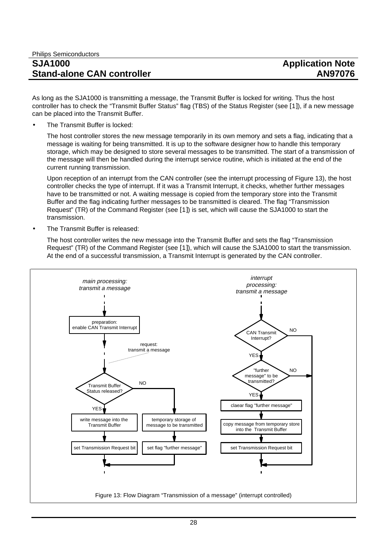As long as the SJA1000 is transmitting a message, the Transmit Buffer is locked for writing. Thus the host controller has to check the "Transmit Buffer Status" flag (TBS) of the Status Register (see [1]), if a new message can be placed into the Transmit Buffer.

The Transmit Buffer is locked:

The host controller stores the new message temporarily in its own memory and sets a flag, indicating that a message is waiting for being transmitted. It is up to the software designer how to handle this temporary storage, which may be designed to store several messages to be transmitted. The start of a transmission of the message will then be handled during the interrupt service routine, which is initiated at the end of the current running transmission.

Upon reception of an interrupt from the CAN controller (see the interrupt processing of Figure 13), the host controller checks the type of interrupt. If it was a Transmit Interrupt, it checks, whether further messages have to be transmitted or not. A waiting message is copied from the temporary store into the Transmit Buffer and the flag indicating further messages to be transmitted is cleared. The flag "Transmission Request" (TR) of the Command Register (see [1]) is set, which will cause the SJA1000 to start the transmission.

• The Transmit Buffer is released:

The host controller writes the new message into the Transmit Buffer and sets the flag "Transmission Request" (TR) of the Command Register (see [1]), which will cause the SJA1000 to start the transmission. At the end of a successful transmission, a Transmit Interrupt is generated by the CAN controller.

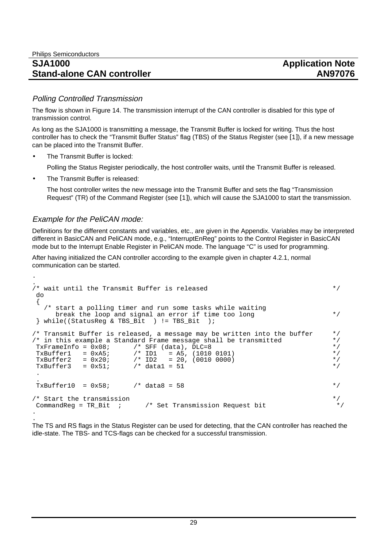#### Polling Controlled Transmission

The flow is shown in Figure 14. The transmission interrupt of the CAN controller is disabled for this type of transmission control.

As long as the SJA1000 is transmitting a message, the Transmit Buffer is locked for writing. Thus the host controller has to check the "Transmit Buffer Status" flag (TBS) of the Status Register (see [1]), if a new message can be placed into the Transmit Buffer.

The Transmit Buffer is locked:

Polling the Status Register periodically, the host controller waits, until the Transmit Buffer is released.

The Transmit Buffer is released:

The host controller writes the new message into the Transmit Buffer and sets the flag "Transmission Request" (TR) of the Command Register (see [1]), which will cause the SJA1000 to start the transmission.

#### Example for the PeliCAN mode:

.

Definitions for the different constants and variables, etc., are given in the Appendix. Variables may be interpreted different in BasicCAN and PeliCAN mode, e.g., "InterruptEnReg" points to the Control Register in BasicCAN mode but to the Interrupt Enable Register in PeliCAN mode. The language "C" is used for programming.

After having initialized the CAN controller according to the example given in chapter 4.2.1, normal communication can be started.

```
.
/* wait until the Transmit Buffer is released */
 do
  {
    /* start a polling timer and run some tasks while waiting
      break the loop and signal an error if time too long<br>le((StatusReq & TBS Bit) ) != TBS Bit);
  } while((StatusReg & TBS_Bit ) != TBS_Bit );
/* Transmit Buffer is released, a message may be written into the buffer
/* in this example a Standard Frame message shall be transmitted */
             T = 0 \times 08; /* SFF (data), DLC=8 */<br>= 0xA5; /* ID1 = A5, (1010 0101) */ */
\text{TxBuffer1} = 0xA5; \overline{\phantom{0}} /* ID1 = A5, (1010 0101) */<br>\text{TxBuffer2} = 0x20; \overline{\phantom{0}} /* ID2 = 20, (0010 0000) */
TxBuffer2 = 0x20; /* ID2 = 20, (0010 0000) */<br>TxBuffer3 = 0x51; /* data1 = 51 */
                            \gamma^* data1 = 51
 .
 .
TxBuffer10 = 0x58; /* data8 = 58 */
/* Start the transmission                      */<br>CommandReg = TR Bit ;    /* Set Transmission Request bit           */
CommandReg = TR Bit ; /* Set Transmission Request bit
.
```
. The TS and RS flags in the Status Register can be used for detecting, that the CAN controller has reached the idle-state. The TBS- and TCS-flags can be checked for a successful transmission.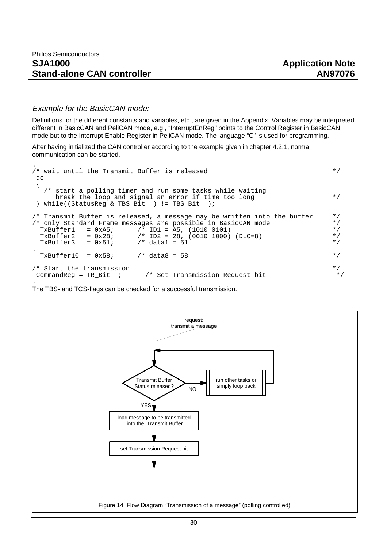#### Example for the BasicCAN mode:

Definitions for the different constants and variables, etc., are given in the Appendix. Variables may be interpreted different in BasicCAN and PeliCAN mode, e.g., "InterruptEnReg" points to the Control Register in BasicCAN mode but to the Interrupt Enable Register in PeliCAN mode. The language "C" is used for programming.

After having initialized the CAN controller according to the example given in chapter 4.2.1, normal communication can be started.

```
.
/* wait until the Transmit Buffer is released */
 do
 {
    /* start a polling timer and run some tasks while waiting
     break the loop and signal an error if time too long */
 } while((StatusReg & TBS_Bit ) != TBS_Bit );
/* Transmit Buffer is released, a message may be written into the buffer */
/* only Standard Frame messages are possible in BasicCAN mode */<br>
TxBuffer1 = 0xA5;  /* ID1 = A5, (1010 0101) */<br>
TxBuffer2 = 0x28;  /* ID2 = 28, (0010 1000) (DLC=8) */<br>
TxBuffer3 = 0x51;  /* data1 = 51 */
TxBuffer1 = 0xA5; /* ID1 = A5, (1010 0101) */
TxBuffer2 = 0x28; /* ID2 = 28, (0010 1000) (DLC=8) */
 TxBuffer3 = 0x51; /* data1 = 51
.
 TxBuffer10 = 0x58; /* data8 = 58 */
/* Start the transmission<br>CommandReg = TR Bit  ;       /* Set Transmission Request bit                         */
CommandReg = TR\_Bit ; /* Set Transmission Request bit
.
```
The TBS- and TCS-flags can be checked for a successful transmission.

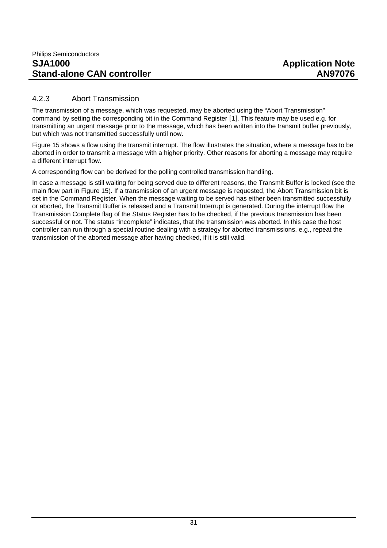#### 4.2.3 Abort Transmission

The transmission of a message, which was requested, may be aborted using the "Abort Transmission" command by setting the corresponding bit in the Command Register [1]. This feature may be used e.g. for transmitting an urgent message prior to the message, which has been written into the transmit buffer previously, but which was not transmitted successfully until now.

Figure 15 shows a flow using the transmit interrupt. The flow illustrates the situation, where a message has to be aborted in order to transmit a message with a higher priority. Other reasons for aborting a message may require a different interrupt flow.

A corresponding flow can be derived for the polling controlled transmission handling.

In case a message is still waiting for being served due to different reasons, the Transmit Buffer is locked (see the main flow part in Figure 15). If a transmission of an urgent message is requested, the Abort Transmission bit is set in the Command Register. When the message waiting to be served has either been transmitted successfully or aborted, the Transmit Buffer is released and a Transmit Interrupt is generated. During the interrupt flow the Transmission Complete flag of the Status Register has to be checked, if the previous transmission has been successful or not. The status "incomplete" indicates, that the transmission was aborted. In this case the host controller can run through a special routine dealing with a strategy for aborted transmissions, e.g., repeat the transmission of the aborted message after having checked, if it is still valid.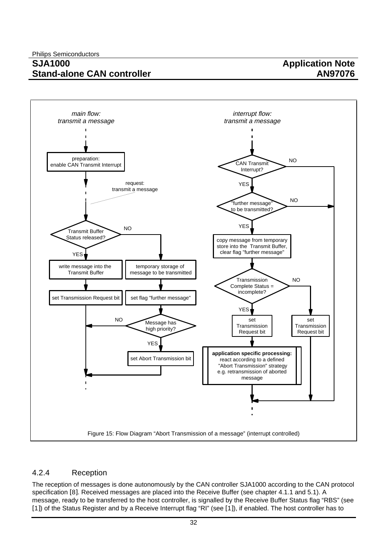# **Application Note AN97076**



### 4.2.4 Reception

The reception of messages is done autonomously by the CAN controller SJA1000 according to the CAN protocol specification [8]. Received messages are placed into the Receive Buffer (see chapter 4.1.1 and 5.1). A message, ready to be transferred to the host controller, is signalled by the Receive Buffer Status flag "RBS" (see [1]) of the Status Register and by a Receive Interrupt flag "RI" (see [1]), if enabled. The host controller has to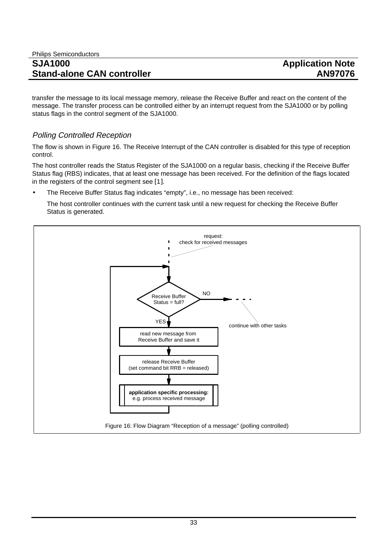transfer the message to its local message memory, release the Receive Buffer and react on the content of the message. The transfer process can be controlled either by an interrupt request from the SJA1000 or by polling status flags in the control segment of the SJA1000.

### Polling Controlled Reception

The flow is shown in Figure 16. The Receive Interrupt of the CAN controller is disabled for this type of reception control.

The host controller reads the Status Register of the SJA1000 on a regular basis, checking if the Receive Buffer Status flag (RBS) indicates, that at least one message has been received. For the definition of the flags located in the registers of the control segment see [1].

• The Receive Buffer Status flag indicates "empty", i.e., no message has been received:

The host controller continues with the current task until a new request for checking the Receive Buffer Status is generated.

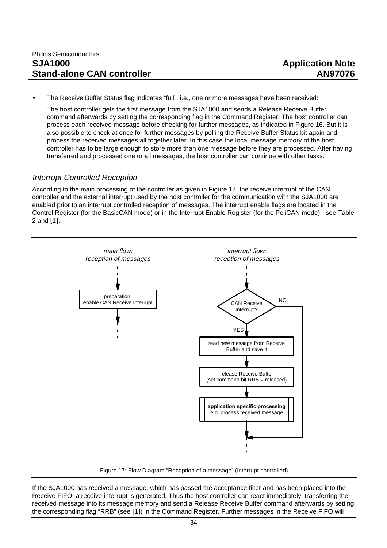• The Receive Buffer Status flag indicates "full", i.e., one or more messages have been received:

The host controller gets the first message from the SJA1000 and sends a Release Receive Buffer command afterwards by setting the corresponding flag in the Command Register. The host controller can process each received message before checking for further messages, as indicated in Figure 16. But it is also possible to check at once for further messages by polling the Receive Buffer Status bit again and process the received messages all together later. In this case the local message memory of the host controller has to be large enough to store more than one message before they are processed. After having transferred and processed one or all messages, the host controller can continue with other tasks.

#### Interrupt Controlled Reception

According to the main processing of the controller as given in Figure 17, the receive interrupt of the CAN controller and the external interrupt used by the host controller for the communication with the SJA1000 are enabled prior to an interrupt controlled reception of messages. The interrupt enable flags are located in the Control Register (for the BasicCAN mode) or in the Interrupt Enable Register (for the PeliCAN mode) - see Table 2 and [1].

![](_page_33_Figure_6.jpeg)

If the SJA1000 has received a message, which has passed the acceptance filter and has been placed into the Receive FIFO, a receive interrupt is generated. Thus the host controller can react immediately, transferring the received message into its message memory and send a Release Receive Buffer command afterwards by setting the corresponding flag "RRB" (see [1]) in the Command Register. Further messages in the Receive FIFO will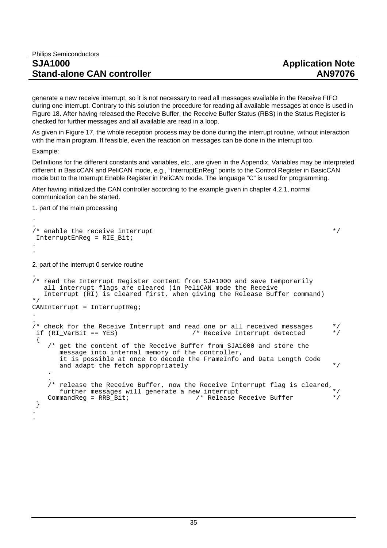# **Stand-alone CAN controller**

generate a new receive interrupt, so it is not necessary to read all messages available in the Receive FIFO during one interrupt. Contrary to this solution the procedure for reading all available messages at once is used in Figure 18. After having released the Receive Buffer, the Receive Buffer Status (RBS) in the Status Register is checked for further messages and all available are read in a loop.

As given in Figure 17, the whole reception process may be done during the interrupt routine, without interaction with the main program. If feasible, even the reaction on messages can be done in the interrupt too.

Example:

.

Definitions for the different constants and variables, etc., are given in the Appendix. Variables may be interpreted different in BasicCAN and PeliCAN mode, e.g., "InterruptEnReg" points to the Control Register in BasicCAN mode but to the Interrupt Enable Register in PeliCAN mode. The language "C" is used for programming.

After having initialized the CAN controller according to the example given in chapter 4.2.1, normal communication can be started.

1. part of the main processing

```
.
\gamma* enable the receive interrupt \gamma*/
 InterruptEnReg = RIE_Bit;
.
.
2. part of the interrupt 0 service routine
.
/* read the Interrupt Register content from SJA1000 and save temporarily
    all interrupt flags are cleared (in PeliCAN mode the Receive
    Interrupt (RI) is cleared first, when giving the Release Buffer command) 
*/
CANInterrupt = InterruptReg;
.
.
/* check for the Receive Interrupt and read one or all received messages if (RI_VarBit = YES) /* Receive Interrupt detected
                                           /* Receive Interrupt detected
  {
     /* get the content of the Receive Buffer from SJA1000 and store the
       message into internal memory of the controller,
        it is possible at once to decode the FrameInfo and Data Length Code
       and adapt the fetch appropriately */ .
 .
     /* release the Receive Buffer, now the Receive Interrupt flag is cleared,
    further messages will generate a new interrupt<br>CommandReq = RRB Bit; \frac{1}{2} /* Release
                                            /* Release Receive Buffer */
  }
.
.
```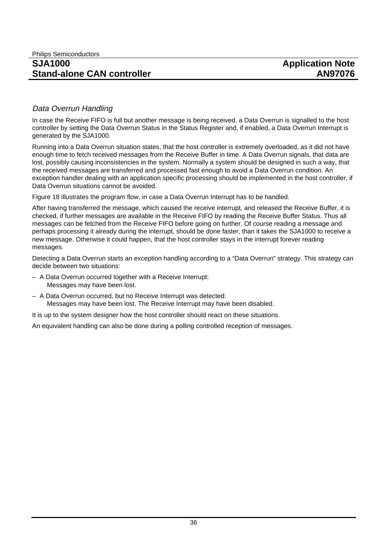#### Data Overrun Handling

In case the Receive FIFO is full but another message is being received, a Data Overrun is signalled to the host controller by setting the Data Overrun Status in the Status Register and, if enabled, a Data Overrun Interrupt is generated by the SJA1000.

Running into a Data Overrun situation states, that the host controller is extremely overloaded, as it did not have enough time to fetch received messages from the Receive Buffer in time. A Data Overrun signals, that data are lost, possibly causing inconsistencies in the system. Normally a system should be designed in such a way, that the received messages are transferred and processed fast enough to avoid a Data Overrun condition. An exception handler dealing with an application specific processing should be implemented in the host controller, if Data Overrun situations cannot be avoided.

Figure 18 illustrates the program flow, in case a Data Overrun Interrupt has to be handled.

After having transferred the message, which caused the receive interrupt, and released the Receive Buffer, it is checked, if further messages are available in the Receive FIFO by reading the Receive Buffer Status. Thus all messages can be fetched from the Receive FIFO before going on further. Of course reading a message and perhaps processing it already during the interrupt, should be done faster, than it takes the SJA1000 to receive a new message. Otherwise it could happen, that the host controller stays in the interrupt forever reading messages.

Detecting a Data Overrun starts an exception handling according to a "Data Overrun" strategy. This strategy can decide between two situations:

- A Data Overrun occurred together with a Receive Interrupt: Messages may have been lost.
- A Data Overrun occurred, but no Receive Interrupt was detected: Messages may have been lost. The Receive Interrupt may have been disabled.

It is up to the system designer how the host controller should react on these situations.

An equivalent handling can also be done during a polling controlled reception of messages.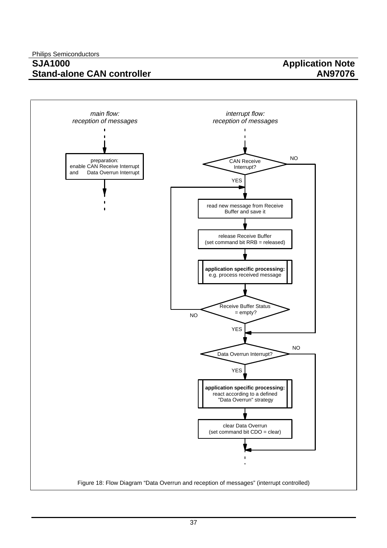![](_page_36_Figure_3.jpeg)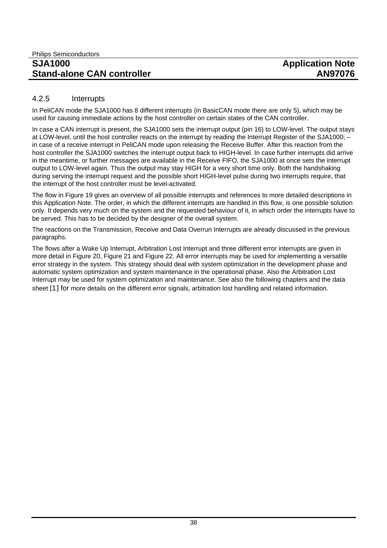#### 4.2.5 Interrupts

In PeliCAN mode the SJA1000 has 8 different interrupts (in BasicCAN mode there are only 5), which may be used for causing immediate actions by the host controller on certain states of the CAN controller.

In case a CAN interrupt is present, the SJA1000 sets the interrupt output (pin 16) to LOW-level. The output stays at LOW-level, until the host controller reacts on the interrupt by reading the Interrupt Register of the SJA1000; – in case of a receive interrupt in PeliCAN mode upon releasing the Receive Buffer. After this reaction from the host controller the SJA1000 switches the interrupt output back to HIGH-level. In case further interrupts did arrive in the meantime, or further messages are available in the Receive FIFO, the SJA1000 at once sets the interrupt output to LOW-level again. Thus the output may stay HIGH for a very short time only. Both the handshaking during serving the interrupt request and the possible short HIGH-level pulse during two interrupts require, that the interrupt of the host controller must be level-activated.

The flow in Figure 19 gives an overview of all possible interrupts and references to more detailed descriptions in this Application Note. The order, in which the different interrupts are handled in this flow, is one possible solution only. It depends very much on the system and the requested behaviour of it, in which order the interrupts have to be served. This has to be decided by the designer of the overall system.

The reactions on the Transmission, Receive and Data Overrun Interrupts are already discussed in the previous paragraphs.

The flows after a Wake Up Interrupt, Arbitration Lost Interrupt and three different error interrupts are given in more detail in Figure 20, Figure 21 and Figure 22. All error interrupts may be used for implementing a versatile error strategy in the system. This strategy should deal with system optimization in the development phase and automatic system optimization and system maintenance in the operational phase. Also the Arbitration Lost Interrupt may be used for system optimization and maintenance. See also the following chapters and the data sheet [1] for more details on the different error signals, arbitration lost handling and related information.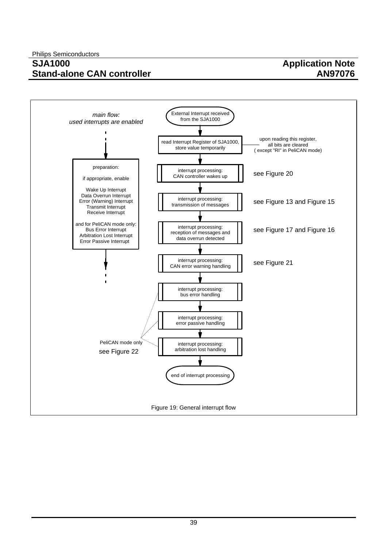![](_page_38_Figure_3.jpeg)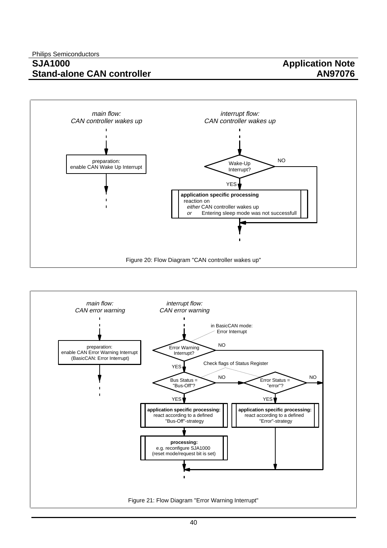![](_page_39_Figure_3.jpeg)

![](_page_39_Figure_4.jpeg)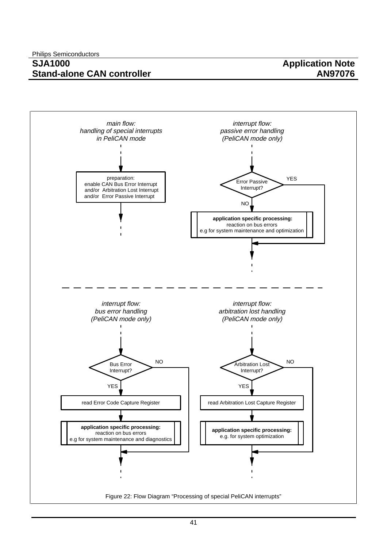Philips Semiconductors

## **SJA1000 Stand-alone CAN controller**

![](_page_40_Figure_3.jpeg)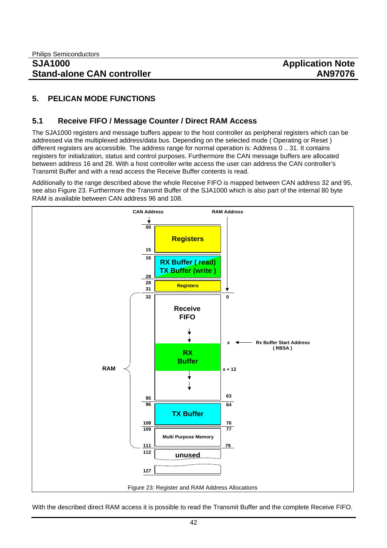### **5. PELICAN MODE FUNCTIONS**

#### **5.1 Receive FIFO / Message Counter / Direct RAM Access**

The SJA1000 registers and message buffers appear to the host controller as peripheral registers which can be addressed via the multiplexed address/data bus. Depending on the selected mode ( Operating or Reset ) different registers are accessible. The address range for normal operation is: Address 0 .. 31. It contains registers for initialization, status and control purposes. Furthermore the CAN message buffers are allocated between address 16 and 28. With a host controller write access the user can address the CAN controller's Transmit Buffer and with a read access the Receive Buffer contents is read.

Additionally to the range described above the whole Receive FIFO is mapped between CAN address 32 and 95, see also Figure 23. Furthermore the Transmit Buffer of the SJA1000 which is also part of the internal 80 byte RAM is available between CAN address 96 and 108.

![](_page_41_Figure_7.jpeg)

With the described direct RAM access it is possible to read the Transmit Buffer and the complete Receive FIFO.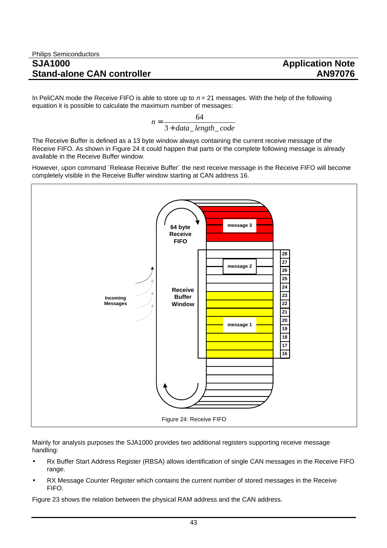In PeliCAN mode the Receive FIFO is able to store up to  $n = 21$  messages. With the help of the following equation it is possible to calculate the maximum number of messages:

$$
n = \frac{64}{3 + data\_length\_code}
$$

The Receive Buffer is defined as a 13 byte window always containing the current receive message of the Receive FIFO. As shown in Figure 24 it could happen that parts or the complete following message is already available in the Receive Buffer window.

However, upon command ´Release Receive Buffer´ the next receive message in the Receive FIFO will become completely visible in the Receive Buffer window starting at CAN address 16.

![](_page_42_Figure_7.jpeg)

Mainly for analysis purposes the SJA1000 provides two additional registers supporting receive message handling:

- Rx Buffer Start Address Register (RBSA) allows identification of single CAN messages in the Receive FIFO range.
- RX Message Counter Register which contains the current number of stored messages in the Receive FIFO.

Figure 23 shows the relation between the physical RAM address and the CAN address.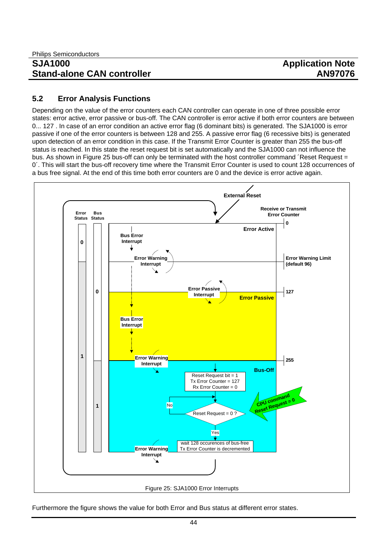### **5.2 Error Analysis Functions**

Depending on the value of the error counters each CAN controller can operate in one of three possible error states: error active, error passive or bus-off. The CAN controller is error active if both error counters are between 0... 127 . In case of an error condition an active error flag (6 dominant bits) is generated. The SJA1000 is error passive if one of the error counters is between 128 and 255. A passive error flag (6 recessive bits) is generated upon detection of an error condition in this case. If the Transmit Error Counter is greater than 255 the bus-off status is reached. In this state the reset request bit is set automatically and the SJA1000 can not influence the bus. As shown in Figure 25 bus-off can only be terminated with the host controller command *`*Reset Request = 0´. This will start the bus-off recovery time where the Transmit Error Counter is used to count 128 occurrences of a bus free signal. At the end of this time both error counters are 0 and the device is error active again.

![](_page_43_Figure_5.jpeg)

Furthermore the figure shows the value for both Error and Bus status at different error states.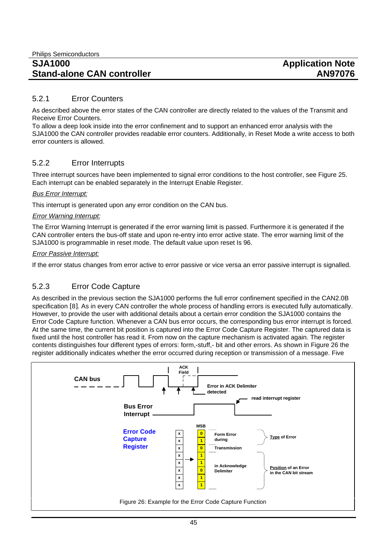#### 5.2.1 Error Counters

As described above the error states of the CAN controller are directly related to the values of the Transmit and Receive Error Counters.

To allow a deep look inside into the error confinement and to support an enhanced error analysis with the SJA1000 the CAN controller provides readable error counters. Additionally, in Reset Mode a write access to both error counters is allowed.

#### 5.2.2 Error Interrupts

Three interrupt sources have been implemented to signal error conditions to the host controller, see Figure 25. Each interrupt can be enabled separately in the Interrupt Enable Register.

#### Bus Error Interrupt:

This interrupt is generated upon any error condition on the CAN bus.

#### Error Warning Interrupt:

The Error Warning Interrupt is generated if the error warning limit is passed. Furthermore it is generated if the CAN controller enters the bus-off state and upon re-entry into error active state. The error warning limit of the SJA1000 is programmable in reset mode. The default value upon reset Is 96.

#### Error Passive Interrupt:

If the error status changes from error active to error passive or vice versa an error passive interrupt is signalled.

#### 5.2.3 Error Code Capture

As described in the previous section the SJA1000 performs the full error confinement specified in the CAN2.0B specification [8]. As in every CAN controller the whole process of handling errors is executed fully automatically. However, to provide the user with additional details about a certain error condition the SJA1000 contains the Error Code Capture function. Whenever a CAN bus error occurs, the corresponding bus error interrupt is forced. At the same time, the current bit position is captured into the Error Code Capture Register. The captured data is fixed until the host controller has read it. From now on the capture mechanism is activated again. The register contents distinguishes four different types of errors: form,-stuff,- bit and other errors. As shown in Figure 26 the register additionally indicates whether the error occurred during reception or transmission of a message. Five

![](_page_44_Figure_16.jpeg)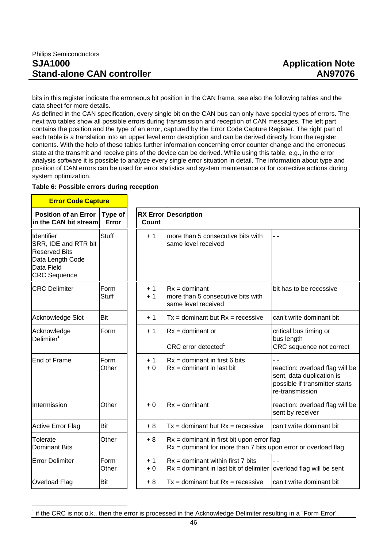bits in this register indicate the erroneous bit position in the CAN frame, see also the following tables and the data sheet for more details.

As defined in the CAN specification, every single bit on the CAN bus can only have special types of errors. The next two tables show all possible errors during transmission and reception of CAN messages. The left part contains the position and the type of an error, captured by the Error Code Capture Register. The right part of each table is a translation into an upper level error description and can be derived directly from the register contents. With the help of these tables further information concerning error counter change and the erroneous state at the transmit and receive pins of the device can be derived. While using this table, e.g., in the error analysis software it is possible to analyze every single error situation in detail. The information about type and position of CAN errors can be used for error statistics and system maintenance or for corrective actions during system optimization.

#### **Table 6: Possible errors during reception**

| <b>Error Code Capture</b>                                                                                           |                      |                 |                                                                                                                  |                                                                                                                   |
|---------------------------------------------------------------------------------------------------------------------|----------------------|-----------------|------------------------------------------------------------------------------------------------------------------|-------------------------------------------------------------------------------------------------------------------|
| <b>Position of an Error</b><br>in the CAN bit stream                                                                | Type of<br>Error     | Count           | <b>RX Error Description</b>                                                                                      |                                                                                                                   |
| Identifier<br>SRR, IDE and RTR bit<br><b>Reserved Bits</b><br>Data Length Code<br>Data Field<br><b>CRC</b> Sequence | <b>Stuff</b>         | $+1$            | more than 5 consecutive bits with<br>same level received                                                         | $ -$                                                                                                              |
| <b>CRC Delimiter</b>                                                                                                | Form<br><b>Stuff</b> | $+1$<br>$+1$    | $Rx =$ dominant<br>more than 5 consecutive bits with<br>same level received                                      | bit has to be recessive                                                                                           |
| Acknowledge Slot                                                                                                    | Bit                  | $+1$            | $Tx =$ dominant but $Rx =$ recessive                                                                             | can't write dominant bit                                                                                          |
| Acknowledge<br>Delimiter <sup>1</sup>                                                                               | Form                 | $+1$            | $Rx =$ dominant or<br>CRC error detected <sup>1</sup>                                                            | critical bus timing or<br>bus length<br>CRC sequence not correct                                                  |
| <b>End of Frame</b>                                                                                                 | Form<br>Other        | $+1$<br>$+0$    | $Rx =$ dominant in first 6 bits<br>$Rx =$ dominant in last bit                                                   | reaction: overload flag will be<br>sent, data duplication is<br>possible if transmitter starts<br>re-transmission |
| Intermission                                                                                                        | Other                | $\pm$ 0         | $Rx =$ dominant                                                                                                  | reaction: overload flag will be<br>sent by receiver                                                               |
| <b>Active Error Flag</b>                                                                                            | <b>Bit</b>           | $+8$            | $Tx =$ dominant but $Rx =$ recessive                                                                             | can't write dominant bit                                                                                          |
| Tolerate<br><b>Dominant Bits</b>                                                                                    | Other                | $+8$            | $Rx =$ dominant in first bit upon error flag<br>$Rx =$ dominant for more than 7 bits upon error or overload flag |                                                                                                                   |
| <b>Error Delimiter</b>                                                                                              | Form<br>Other        | $+1$<br>$\pm 0$ | $Rx =$ dominant within first 7 bits<br>$Rx =$ dominant in last bit of delimiter                                  | overload flag will be sent                                                                                        |
| Overload Flag                                                                                                       | <b>Bit</b>           | $+8$            | $Tx =$ dominant but $Rx =$ recessive                                                                             | can't write dominant bit                                                                                          |

 $\frac{1}{1}$ <sup>1</sup> if the CRC is not o.k., then the error is processed in the Acknowledge Delimiter resulting in a 'Form Error'.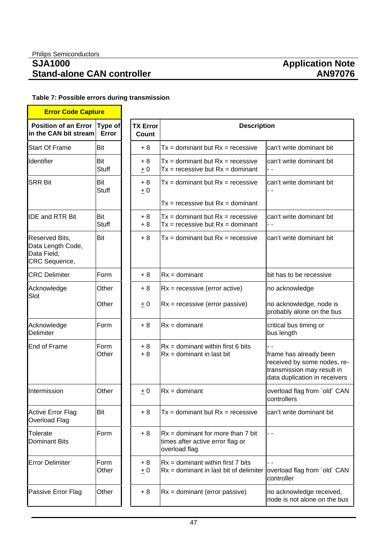#### **Table 7: Possible errors during transmission**

| <b>Error Code Capture</b>                                           |                            |                          |                                                                                            |                                                                                                                      |
|---------------------------------------------------------------------|----------------------------|--------------------------|--------------------------------------------------------------------------------------------|----------------------------------------------------------------------------------------------------------------------|
| <b>Position of an Error</b><br>in the CAN bit stream                | Type of<br>Error           | <b>TX Error</b><br>Count | <b>Description</b>                                                                         |                                                                                                                      |
| <b>Start Of Frame</b>                                               | <b>Bit</b>                 | $+8$                     | $Tx =$ dominant but $Rx =$ recessive                                                       | can't write dominant bit                                                                                             |
| Identifier                                                          | <b>Bit</b><br><b>Stuff</b> | $+8$<br>$\pm 0$          | $Tx =$ dominant but $Rx =$ recessive<br>$Tx = \text{recessive}$ but $Rx = \text{dominant}$ | can't write dominant bit                                                                                             |
| <b>SRR Bit</b>                                                      | Bit<br><b>Stuff</b>        | $+8$<br>$\pm 0$          | $Tx =$ dominant but $Rx =$ recessive                                                       | can't write dominant bit<br>. .                                                                                      |
|                                                                     |                            |                          | $Tx = \text{recession}$ but $Rx = \text{dominant}$                                         |                                                                                                                      |
| <b>IDE and RTR Bit</b>                                              | <b>Bit</b><br><b>Stuff</b> | $+8$<br>$+8$             | $Tx =$ dominant but $Rx =$ recessive<br>$Tx = \text{recession}$ but $Rx = \text{dominant}$ | can't write dominant bit<br>- -                                                                                      |
| Reserved Bits,<br>Data Length Code,<br>Data Field,<br>CRC Sequence, | <b>Bit</b>                 | $+8$                     | $Tx =$ dominant but $Rx =$ recessive                                                       | can't write dominant bit                                                                                             |
| <b>CRC</b> Delimiter                                                | Form                       | $+8$                     | $Rx =$ dominant                                                                            | bit has to be recessive                                                                                              |
| Acknowledge<br>Slot                                                 | Other                      | $+8$                     | $Rx = recessive (error active)$                                                            | no acknowledge                                                                                                       |
|                                                                     | Other                      | $\pm 0$                  | $Rx = recessive (error passive)$                                                           | no acknowledge, node is<br>probably alone on the bus                                                                 |
| Acknowledge<br>Delimiter                                            | Form                       | $+8$                     | $Rx =$ dominant                                                                            | critical bus timing or<br>bus length                                                                                 |
| End of Frame                                                        | Form<br>Other              | $+8$<br>$+8$             | $Rx =$ dominant within first 6 bits<br>$Rx =$ dominant in last bit                         | frame has already been<br>received by some nodes, re-<br>transmission may result in<br>data duplication in receivers |
| Intermission                                                        | Other                      | $\pm 0$                  | $Rx =$ dominant                                                                            | overload flag from 'old' CAN<br>controllers                                                                          |
| <b>Active Error Flag</b><br>Overload Flag                           | <b>Bit</b>                 | $+8$                     | $Tx =$ dominant but $Rx =$ recessive                                                       | can't write dominant bit                                                                                             |
| Tolerate<br><b>Dominant Bits</b>                                    | Form                       | $+8$                     | $Rx =$ dominant for more than 7 bit<br>times after active error flag or<br>overload flag   | - -                                                                                                                  |
| <b>Error Delimiter</b>                                              | Form<br>Other              | $+8$<br>$\pm 0$          | $Rx =$ dominant within first 7 bits<br>$Rx =$ dominant in last bit of delimiter            | overload flag from 'old' CAN<br>controller                                                                           |
| Passive Error Flag                                                  | Other                      | $+8$                     | $Rx =$ dominant (error passive)                                                            | no acknowledge received,<br>node is not alone on the bus                                                             |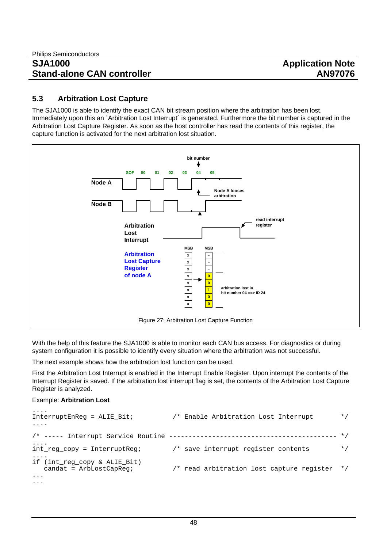# **5.3 Arbitration Lost Capture**

The SJA1000 is able to identify the exact CAN bit stream position where the arbitration has been lost. Immediately upon this an ´Arbitration Lost Interrupt´ is generated. Furthermore the bit number is captured in the Arbitration Lost Capture Register. As soon as the host controller has read the contents of this register, the capture function is activated for the next arbitration lost situation.

![](_page_47_Figure_5.jpeg)

With the help of this feature the SJA1000 is able to monitor each CAN bus access. For diagnostics or during system configuration it is possible to identify every situation where the arbitration was not successful.

The next example shows how the arbitration lost function can be used.

First the Arbitration Lost Interrupt is enabled in the Interrupt Enable Register. Upon interrupt the contents of the Interrupt Register is saved. If the arbitration lost interrupt flag is set, the contents of the Arbitration Lost Capture Register is analyzed.

### Example: **Arbitration Lost**

```
InterruptEnReg = ALIE_Bit;
                                 /* Enable Arbitration Lost Interrupt */
....
/* ----- Interrupt Service Routine ------------------------------------------- */
....
int_reg_copy = InterruptReg; /* save interrupt register contents */
....
if (int_reg_copy & ALIE_Bit)
                                  /* read arbitration lost capture register */
...
...
```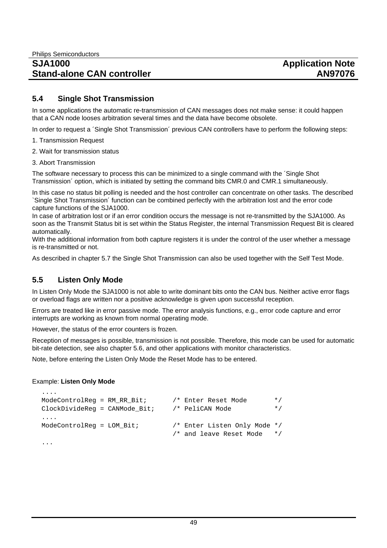#### **5.4 Single Shot Transmission**

In some applications the automatic re-transmission of CAN messages does not make sense: it could happen that a CAN node looses arbitration several times and the data have become obsolete.

In order to request a ´Single Shot Transmission´ previous CAN controllers have to perform the following steps:

1. Transmission Request

2. Wait for transmission status

3. Abort Transmission

The software necessary to process this can be minimized to a single command with the ´Single Shot Transmission´ option, which is initiated by setting the command bits CMR.0 and CMR.1 simultaneously.

In this case no status bit polling is needed and the host controller can concentrate on other tasks. The described `Single Shot Transmission´ function can be combined perfectly with the arbitration lost and the error code capture functions of the SJA1000.

In case of arbitration lost or if an error condition occurs the message is not re-transmitted by the SJA1000. As soon as the Transmit Status bit is set within the Status Register, the internal Transmission Request Bit is cleared automatically.

With the additional information from both capture registers it is under the control of the user whether a message is re-transmitted or not.

As described in chapter 5.7 the Single Shot Transmission can also be used together with the Self Test Mode.

### **5.5 Listen Only Mode**

In Listen Only Mode the SJA1000 is not able to write dominant bits onto the CAN bus. Neither active error flags or overload flags are written nor a positive acknowledge is given upon successful reception.

Errors are treated like in error passive mode. The error analysis functions, e.g., error code capture and error interrupts are working as known from normal operating mode.

However, the status of the error counters is frozen.

Reception of messages is possible, transmission is not possible. Therefore, this mode can be used for automatic bit-rate detection, see also chapter 5.6, and other applications with monitor characteristics.

Note, before entering the Listen Only Mode the Reset Mode has to be entered.

#### Example: **Listen Only Mode**

....

```
ModelControlReq = RM RR Bit; /* Enter Reset Mode */
ClockDivideReg = CANMode_Bit; /* PeliCAN Mode */
....
ModeControlReg = LOM Bit; /* Enter Listen Only Mode */
                            /* and leave Reset Mode */
...
```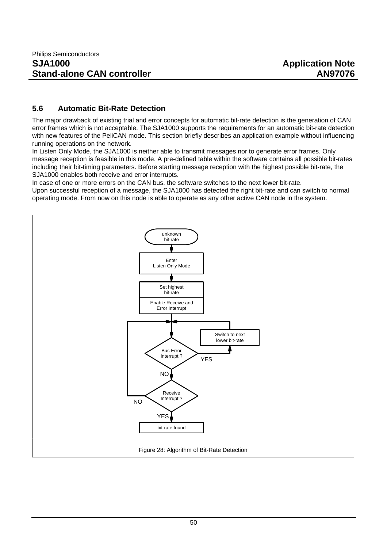#### **5.6 Automatic Bit-Rate Detection**

The major drawback of existing trial and error concepts for automatic bit-rate detection is the generation of CAN error frames which is not acceptable. The SJA1000 supports the requirements for an automatic bit-rate detection with new features of the PeliCAN mode. This section briefly describes an application example without influencing running operations on the network.

In Listen Only Mode, the SJA1000 is neither able to transmit messages nor to generate error frames. Only message reception is feasible in this mode. A pre-defined table within the software contains all possible bit-rates including their bit-timing parameters. Before starting message reception with the highest possible bit-rate, the SJA1000 enables both receive and error interrupts.

In case of one or more errors on the CAN bus, the software switches to the next lower bit-rate.

Upon successful reception of a message, the SJA1000 has detected the right bit-rate and can switch to normal operating mode. From now on this node is able to operate as any other active CAN node in the system.

![](_page_49_Figure_8.jpeg)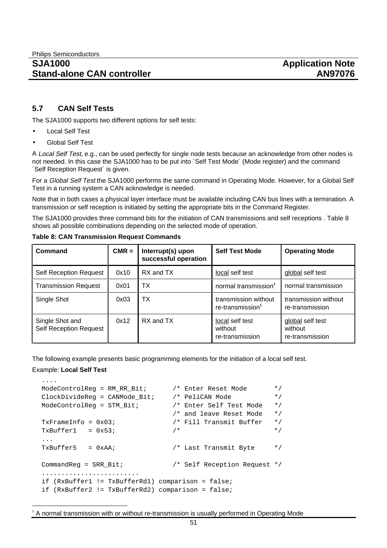#### **5.7 CAN Self Tests**

The SJA1000 supports two different options for self tests:

- Local Self Test
- Global Self Test

A Local Self Test, e.g., can be used perfectly for single node tests because an acknowledge from other nodes is not needed. In this case the SJA1000 has to be put into ´Self Test Mode´ (Mode register) and the command ´Self Reception Request´ is given.

For a Global Self Test the SJA1000 performs the same command in Operating Mode. However, for a Global Self Test in a running system a CAN acknowledge is needed.

Note that in both cases a physical layer interface must be available including CAN bus lines with a termination. A transmission or self reception is initiated by setting the appropriate bits in the Command Register.

The SJA1000 provides three command bits for the initiation of CAN transmissions and self receptions . Table 8 shows all possible combinations depending on the selected mode of operation.

| Command                                          | $CMR =$ | Interrupt(s) upon<br>successful operation | <b>Self Test Mode</b>                                | <b>Operating Mode</b>                          |
|--------------------------------------------------|---------|-------------------------------------------|------------------------------------------------------|------------------------------------------------|
| Self Reception Request                           | 0x10    | RX and TX                                 | local self test                                      | global self test                               |
| <b>Transmission Request</b>                      | 0x01    | ТX                                        | normal transmission <sup>1</sup>                     | normal transmission                            |
| Single Shot                                      | 0x03    | ТX                                        | transmission without<br>re-transmission <sup>1</sup> | transmission without<br>re-transmission        |
| Single Shot and<br><b>Self Reception Request</b> | 0x12    | RX and TX                                 | local self test<br>without<br>re-transmission        | global self test<br>without<br>re-transmission |

**Table 8: CAN Transmission Request Commands**

The following example presents basic programming elements for the initiation of a local self test.

#### Example: **Local Self Test**

....

```
ModelController = RM RR Bit; /* Enter Reset Mode */
ClockDivideReg = CANMode_Bit; /* PeliCAN Mode */
ModeControlReg = STM_Bit; /* Enter Self Test Mode */
                                          /* and leave Reset Mode */
TxFrameInfo = 0x03; \frac{x}{10} \frac{x}{10} \frac{x}{10} \frac{x}{10} \frac{x}{10} \frac{x}{10} \frac{x}{10} \frac{x}{10} \frac{x}{10} \frac{x}{10} \frac{x}{10} \frac{x}{10} \frac{x}{10} \frac{x}{10} \frac{x}{10} \frac{x}{10} \frac{x}{10} \frac{x}{10} \frac{x}{10} \frac{x}{10}TxBuffer1 = 0x53; \qquad \qquad /* *
...
TxBuffer5 = 0xAA; \frac{x}{B} \frac{1}{x} Last Transmit Byte \frac{x}{A}CommandReg = SRR_Bit; /* Self Reception Request */
.........................
if (RxBuffer1 != TxBufferRd1) comparison = false;
if (RxBuffer2 != TxBufferRd2) comparison = false;
```
 $\frac{1}{1}$ A normal transmission with or without re-transmission is usually performed in Operating Mode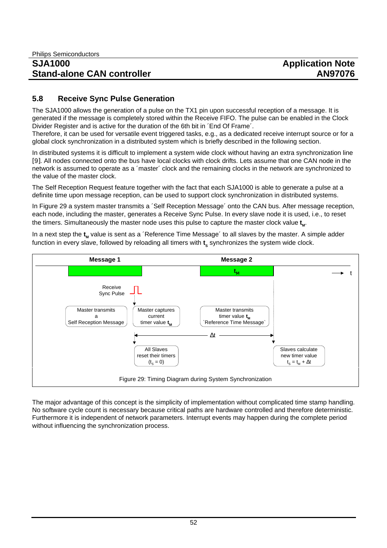#### **5.8 Receive Sync Pulse Generation**

The SJA1000 allows the generation of a pulse on the TX1 pin upon successful reception of a message. It is generated if the message is completely stored within the Receive FIFO. The pulse can be enabled in the Clock Divider Register and is active for the duration of the 6th bit in ´End Of Frame´.

Therefore, it can be used for versatile event triggered tasks, e.g., as a dedicated receive interrupt source or for a global clock synchronization in a distributed system which is briefly described in the following section.

In distributed systems it is difficult to implement a system wide clock without having an extra synchronization line [9]. All nodes connected onto the bus have local clocks with clock drifts. Lets assume that one CAN node in the network is assumed to operate as a ´master´ clock and the remaining clocks in the network are synchronized to the value of the master clock.

The Self Reception Request feature together with the fact that each SJA1000 is able to generate a pulse at a definite time upon message reception, can be used to support clock synchronization in distributed systems.

In Figure 29 a system master transmits a ´Self Reception Message´ onto the CAN bus. After message reception, each node, including the master, generates a Receive Sync Pulse. In every slave node it is used, i.e., to reset the timers. Simultaneously the master node uses this pulse to capture the master clock value  $t_{\text{m}}$ .

In a next step the t<sub>M</sub> value is sent as a 'Reference Time Message' to all slaves by the master. A simple adder function in every slave, followed by reloading all timers with **t**<sub>c</sub> synchronizes the system wide clock.

![](_page_51_Figure_10.jpeg)

The major advantage of this concept is the simplicity of implementation without complicated time stamp handling. No software cycle count is necessary because critical paths are hardware controlled and therefore deterministic. Furthermore it is independent of network parameters. Interrupt events may happen during the complete period without influencing the synchronization process.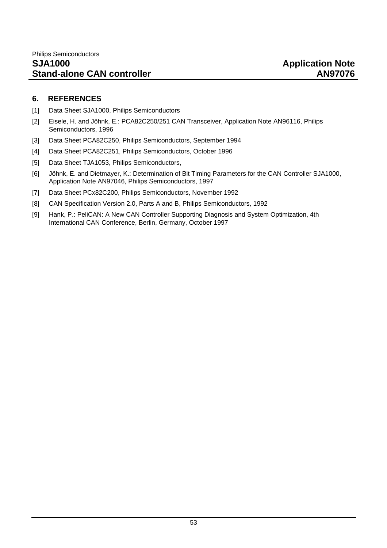#### **6. REFERENCES**

- [1] Data Sheet SJA1000, Philips Semiconductors
- [2] Eisele, H. and Jöhnk, E.: PCA82C250/251 CAN Transceiver, Application Note AN96116, Philips Semiconductors, 1996
- [3] Data Sheet PCA82C250, Philips Semiconductors, September 1994
- [4] Data Sheet PCA82C251, Philips Semiconductors, October 1996
- [5] Data Sheet TJA1053, Philips Semiconductors,
- [6] Jöhnk, E. and Dietmayer, K.: Determination of Bit Timing Parameters for the CAN Controller SJA1000, Application Note AN97046, Philips Semiconductors, 1997
- [7] Data Sheet PCx82C200, Philips Semiconductors, November 1992
- [8] CAN Specification Version 2.0, Parts A and B, Philips Semiconductors, 1992
- [9] Hank, P.: PeliCAN: A New CAN Controller Supporting Diagnosis and System Optimization, 4th International CAN Conference, Berlin, Germany, October 1997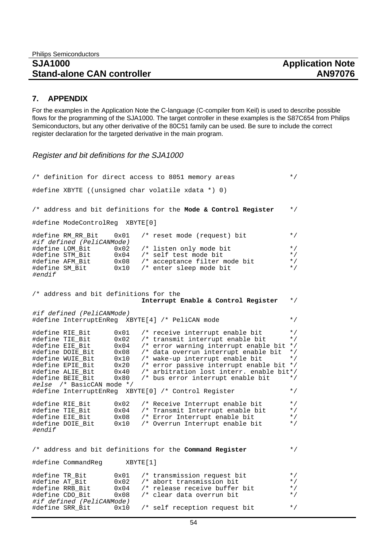#### **7. APPENDIX**

For the examples in the Application Note the C-language (C-compiler from Keil) is used to describe possible flows for the programming of the SJA1000. The target controller in these examples is the S87C654 from Philips Semiconductors, but any other derivative of the 80C51 family can be used. Be sure to include the correct register declaration for the targeted derivative in the main program.

Register and bit definitions for the SJA1000

/\* definition for direct access to 8051 memory areas \*/ #define XBYTE ((unsigned char volatile xdata \*) 0) /\* address and bit definitions for the **Mode & Control Register** \*/ #define ModeControlReg XBYTE[0] #define RM\_RR\_Bit 0x01 /\* reset mode (request) bit \*/ #if defined (PeliCANMode) #define LOM\_Bit 0x02 /\* listen only mode bit \*/<br>#define STM\_Bit 0x04 /\* self test mode bit \*/ #define STM\_Bit 0x04 /\* self test mode bit \*/ #define AFM\_Bit 0x08 /\* acceptance filter mode bit \*/ #define SM\_Bit 0x10 /\* enter sleep mode bit \*/ #endif /\* address and bit definitions for the **Interrupt Enable & Control Register** \*/ #if defined (PeliCANMode) #define InterruptEnReg XBYTE[4] /\* PeliCAN mode \*/ #define RIE\_Bit 0x01 /\* receive interrupt enable bit \*/ #define TIE\_Bit 0x02 /\* transmit interrupt enable bit \*/ #define EIE\_Bit 0x04 /\* error warning interrupt enable bit \*/ #define DOIE\_Bit 0x08 /\* data overrun interrupt enable bit \*/ #define WUIE\_Bit 0x10 /\* wake-up interrupt enable bit \*/ #define EPIE\_Bit 0x20 /\* error passive interrupt enable bit \*/ #define ALIE\_Bit 0x40 /\* arbitration lost interr. enable bit\*/ #define BEIE\_Bit 0x80 /\* bus error interrupt enable bit \*/ #else /\* BasicCAN mode \*/ #define InterruptEnReg XBYTE[0] /\* Control Register \*/ #define RIE\_Bit 0x02 /\* Receive Interrupt enable bit \*/<br>#define TIE\_Bit 0x04 /\* Transmit Interrupt enable bit \*/ #define TIE\_Bit 0x04 /\* Transmit Interrupt enable bit \*/<br>#define EIE\_Bit 0x08 /\* Error Interrupt enable bit \*/ #define EIE\_Bit 0x08 /\* Error Interrupt enable bit \*/  $/*$  Overrun Interrupt enable bit #endif /\* address and bit definitions for the **Command Register** \*/ #define CommandReg XBYTE[1] #define TR\_Bit  $0x01$  /\* transmission request bit<br>#define AT Bit  $0x02$  /\* abort transmission bit #define AT\_Bit 0x02 /\* abort transmission bit \*/<br>#define RRB\_Bit 0x04 /\* release receive buffer bit \*/ #define RRB\_Bit 0x04 /\* release receive buffer bit<br>#define CDO Bit 0x08 /\* clear data overrun bit  $0x08$  /\* clear data overrun bit #if defined (PeliCANMode) #define SRR Bit 0x10 /\* self reception request bit \*/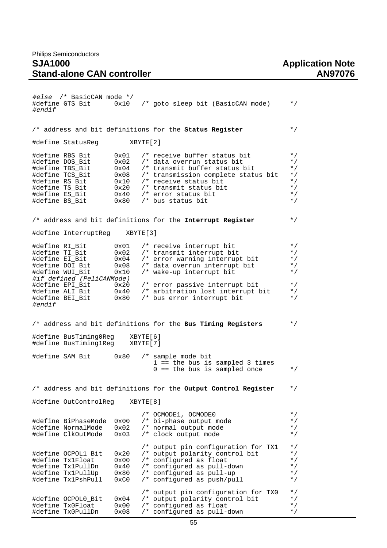```
#else /* BasicCAN mode */
#define GTS_Bit 0x10 /* goto sleep bit (BasicCAN mode) */
#endif
/* address and bit definitions for the Status Register */
#define StatusReg XBYTE[2]
#define RBS_Bit 0x01 /* receive buffer status bit */
#define DOS_Bit 0x02 /* data overrun status bit */
#define TBS_Bit 0x04 /* transmit buffer status bit */
#define TCS_Bit 0x08 /* transmission complete status bit */
#define RS_Bit 0x10 /* receive status bit */
#define TCS_Bit 0x08 /* transmission complete status bit */<br>#define RS_Bit 0x10 /* receive status bit */<br>#define TS_Bit 0x20 /* transmit status bit */<br>#define ES Bit 0x40 /* error status bit */
                         \begin{array}{ccc} 0x40 & /* & \text{error status bit} & * \\ 0x80 & /* & \text{bus status bit} & * \end{array}#define ES_Bit<br>#define ES_Bit<br>#define BS_Bit
/* address and bit definitions for the Interrupt Register */
#define InterruptReg XBYTE[3]
#define RI_Bit 0x01 /* receive interrupt bit */<br>#define TI_Bit 0x02 /* transmit interrupt bit */
#define TI_Bit 0x02 /* transmit interrupt bit */<br>#define EI Bit 0x04 /* error warning interrupt bit */
#define EI_Bit 0x04 /* error warning interrupt bit */
#define DOI_Bit 0x08 /* data overrun interrupt bit */
#define WUI_Bit 0x10 /* wake-up interrupt bit */
#if defined (PeliCANMode)
#define EPI_Bit 0x20 /* error passive interrupt bit */
#define ALI_Bit 0x40 /* arbitration lost interrupt bit */
#define ALI_Bit 0x40 /* arbitration lost interrupt<br>#define BEI Bit 0x80 /* bus error interrupt bit
#endif
/* address and bit definitions for the Bus Timing Registers */
#define BusTiming0Reg XBYTE[6]
#define BusTiming1Reg XBYTE[7]
#define SAM Bit 0x80 /* sample mode bit
                                      1 == the bus is sampled 3 times
                                      0 == the bus is sampled once */* address and bit definitions for the Output Control Register */
#define OutControlReg XBYTE[8]
                                  /* OCMODE1, OCMODE0 */
#define BiPhaseMode 0x00 /* bi-phase output mode */<br>#define NormalMode 0x02 /* normal output mode */
#define NormalMode 0x02 /* normal output mode */<br>#define ClkOutMode 0x03 /* clock output mode */
#define ClkOutMode 0x03 /* clock output mode */
 /* output pin configuration for TX1 */
#define OCPOL1_Bit 0x20 /* output polarity control bit */<br>#define Tx1Float 0x00 /* configured as float */
#define Tx1Float  0 \times 00 /* configured as float  */<br>#define Tx1PullDn  0x40  /* configured as pull-down  */
% which is a move of the matrice of the matrice of the matrice of the matrice of the matrice of the matrice of the matrice of the matrice of the matrice of the matrice of the matrice of the matrice of the matrice of the ma
#define Tx1PullUp 0x80 /* configured as pull-up */<br>#define Tx1PullUp 0x80 /* configured as pull-up */<br>#define Tx1PshPull 0xC0 /* configured as push/pull */
                       0xC0 /* configured as push/pull
                                  /* output pin configuration for TX0 */
#define OCPOL0_Bit 0x04 /* output polarity control bit */<br>#define Tx0Float 0x00 /* configured as float */
#define Tx0Float  0x00  /* configured as float  */<br>#define Tx0PullDn  0x08  /* configured as pull-down  */
                                  /* configured as pull-down
```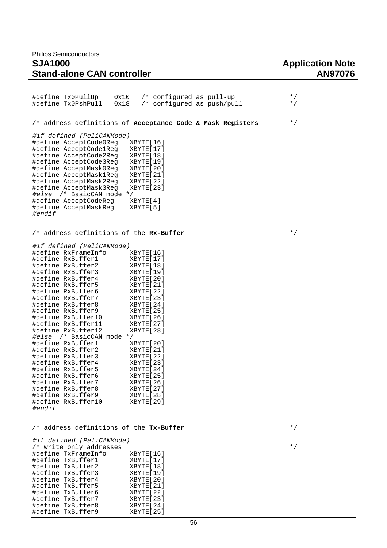| /* address definitions of Acceptance Code & Mask Registers                                                                                                                                                                                                                                                                                                                                                                                                                                                                                                                                                                                                                                                                                                                                                                                                                                                | $\star$ / |
|-----------------------------------------------------------------------------------------------------------------------------------------------------------------------------------------------------------------------------------------------------------------------------------------------------------------------------------------------------------------------------------------------------------------------------------------------------------------------------------------------------------------------------------------------------------------------------------------------------------------------------------------------------------------------------------------------------------------------------------------------------------------------------------------------------------------------------------------------------------------------------------------------------------|-----------|
| #if defined (PeliCANMode)<br>XBYTE [16]<br>#define AcceptCode0Reg<br>#define AcceptCodelReg<br>XBYTE [17]<br>#define AcceptCode2Reg<br>XBYTE[18]<br>#define AcceptCode3Reg<br>XBYTE [19]<br>#define AcceptMask0Reg<br>XBYTE [20]                                                                                                                                                                                                                                                                                                                                                                                                                                                                                                                                                                                                                                                                          |           |
| #define AcceptMask1Reg<br>XBYTE [21]<br>#define AcceptMask2Req<br>XBYTE [22]<br>#define AcceptMask3Reg<br>XBYTE [23]<br>#else /* BasicCAN mode */<br>#define AcceptCodeReg<br>XBYTE [4]<br>#define AcceptMaskReg<br>XBYTE [5]<br>#endif                                                                                                                                                                                                                                                                                                                                                                                                                                                                                                                                                                                                                                                                   |           |
| /* address definitions of the Rx-Buffer                                                                                                                                                                                                                                                                                                                                                                                                                                                                                                                                                                                                                                                                                                                                                                                                                                                                   | $\star$ / |
| #if defined (PeliCANMode)<br>#define RxFrameInfo<br>XBYTE [16]<br>#define RxBuffer1<br>XBYTE[17]<br>#define RxBuffer2<br>XBYTE[18]<br>#define RxBuffer3<br>XBYTE [19]<br>#define RxBuffer4<br>XBYTE [20]<br>#define RxBuffer5<br>XBYTE [21]<br>#define RxBuffer6<br>XBYTE [22]<br>#define RxBuffer7<br>XBYTE [23]<br>#define RxBuffer8<br>XBYTE [24]<br>#define RxBuffer9<br>XBYTE [25]<br>#define RxBuffer10<br>XBYTE [26]<br>#define RxBuffer11<br>XBYTE [27]<br>#define RxBuffer12<br>XBYTE [28]<br>#else /* BasicCAN mode */<br>#define RxBuffer1<br>XBYTE[20]<br>#define RxBuffer2<br>XBYTE[21]<br>#define RxBuffer3<br>XBYTE [22]<br>#define RxBuffer4<br>XBYTE [23]<br>#define RxBuffer5<br>XBYTE [ 24 ]<br>#define RxBuffer6<br>XBYTE [25]<br>#define RxBuffer7<br>XBYTE [26]<br>#define RxBuffer8<br>XBYTE [27]<br>#define RxBuffer9<br>XBYTE [28]<br>#define RxBuffer10<br>XBYTE [29]<br>#endif |           |
| /* address definitions of the Tx-Buffer                                                                                                                                                                                                                                                                                                                                                                                                                                                                                                                                                                                                                                                                                                                                                                                                                                                                   | $\star$ / |
| #if defined (PeliCANMode)<br>/* write only addresses                                                                                                                                                                                                                                                                                                                                                                                                                                                                                                                                                                                                                                                                                                                                                                                                                                                      | $\star$ / |
| #define TxFrameInfo<br>XBYTE [16]<br>#define TxBuffer1<br>XBYTE [17]<br>#define TxBuffer2<br>XBYTE [18]<br>#define TxBuffer3<br>XBYTE [19]<br>#define TxBuffer4<br>XBYTE [20]<br>#define TxBuffer5<br>XBYTE [21]<br>#define TxBuffer6<br>XBYTE [22]<br>#define TxBuffer7<br>XBYTE [23]<br>#define TxBuffer8<br>XBYTE [24]<br>#define TxBuffer9<br>XBYTE [25]                                                                                                                                                                                                                                                                                                                                                                                                                                                                                                                                              |           |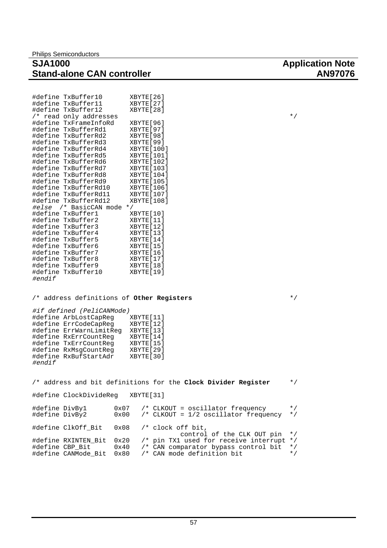|        | #define TxBuffer10     | XBYTE [26]   |           |
|--------|------------------------|--------------|-----------|
|        | #define TxBuffer11     | XBYTE [27]   |           |
|        | #define TxBuffer12     | XBYTE [28]   |           |
|        | /* read only addresses |              | $\star$ / |
|        | #define TxFrameInfoRd  | XBYTE [ 96 ] |           |
|        | #define TxBufferRd1    | XBYTE [ 97 ] |           |
|        | #define TxBufferRd2    | XBYTE [ 98 ] |           |
|        | #define TxBufferRd3    | XBYTE [ 99 ] |           |
|        | #define TxBufferRd4    | XBYTE [100]  |           |
|        | #define TxBufferRd5    | XBYTE [101]  |           |
|        | #define TxBufferRd6    | XBYTE [102]  |           |
|        | #define TxBufferRd7    | XBYTE [103]  |           |
|        | #define TxBufferRd8    | XBYTE [104]  |           |
|        | #define TxBufferRd9    | XBYTE [105]  |           |
|        | #define TxBufferRd10   | XBYTE [106]  |           |
|        | #define TxBufferRd11   | XBYTE [107]  |           |
|        | #define TxBufferRd12   | XBYTE [108]  |           |
|        | #else /* BasicCAN mode | $*$ /        |           |
|        | #define TxBuffer1      | XBYTE [10]   |           |
|        | #define TxBuffer2      | XBYTE [11]   |           |
|        | #define TxBuffer3      | XBYTE [12]   |           |
|        | #define TxBuffer4      | XBYTE [13]   |           |
|        | #define TxBuffer5      | XBYTE [14]   |           |
|        | #define TxBuffer6      | XBYTE [15]   |           |
|        | #define TxBuffer7      | XBYTE [16]   |           |
|        | #define TxBuffer8      | XBYTE [17]   |           |
|        | #define TxBuffer9      | XBYTE [18]   |           |
|        | #define TxBuffer10     | XBYTE [19]   |           |
| #endif |                        |              |           |

/\* address definitions of **Other Registers** \*/

|        | #if defined (PeliCANMode) |            |
|--------|---------------------------|------------|
|        | #define ArbLostCapReq     | XBYTE [11] |
|        | #define ErrCodeCapReg     | XBYTE [12] |
|        | #define ErrWarnLimitReq   | XBYTE [13] |
|        | #define RxErrCountReq     | XBYTE [14] |
|        | #define TxErrCountReq     | XBYTE [15] |
|        | #define RxMsqCountReq     | XBYTE [29] |
|        | #define RxBufStartAdr     | XBYTE [30] |
| #endif |                           |            |

/\* address and bit definitions for the **Clock Divider Register** \*/ #define ClockDivideReg XBYTE[31] #define DivBy1 0x07 /\* CLKOUT = oscillator frequency \*/<br>#define DivBy2 0x00 /\* CLKOUT = 1/2 oscillator frequency \*/  $\frac{1}{2}$  CLKOUT = 1/2 oscillator frequency \*/ #define ClkOff\_Bit 0x08 /\* clock off bit, control of the CLK OUT pin \*/ #define RXINTEN\_Bit 0x20 /\* pin TX1 used for receive interrupt \*/ #define CBP\_Bit 0x40 /\* CAN comparator bypass control bit \*/ #define CANMode\_Bit 0x80 /\* CAN mode definition bit \*/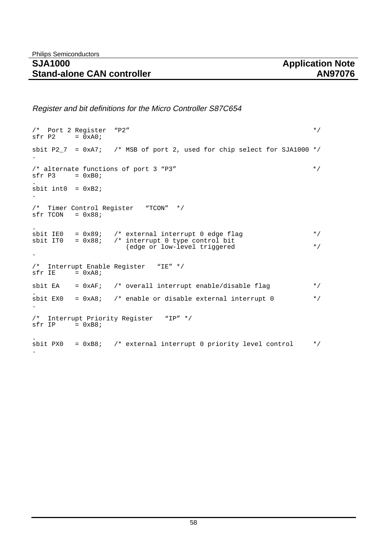#### Register and bit definitions for the Micro Controller S87C654

```
\frac{1}{2} Port 2 Register "P2" \frac{1}{2} \frac{1}{2} \frac{1}{2} \frac{1}{2} \frac{1}{2} \frac{1}{2} \frac{1}{2} \frac{1}{2} \frac{1}{2} \frac{1}{2} \frac{1}{2} \frac{1}{2} \frac{1}{2} \frac{1}{2} \frac{1}{2} \frac{1}{2} \frac{1}{2} \frac{1}{2} \frac{1}{2} 
        = 0xA0;sbit P2_7 = 0xA7; /* MSB of port 2, used for chip select for SJA1000 */
.
/* alternate functions of port 3 "P3" */
sfr P3 = 0xB0;.
sbit int0 = 0xB2;
.
/* Timer Control Register "TCON" */<br>sfr TCON = 0x88;
sfr TCON
.<br>sbit IEO<br>sbit ITO
sbit IE0 = 0x89; /* external interrupt 0 edge flag */
sbit IT0 = 0x88; /* interrupt 0 type control bit
 (edge or low-level triggered */
.
/* Interrupt Enable Register "IE" */<br>sfr IE = 0xA8;
           = 0xA8;sbit EA = 0xAF; /* overall interrupt enable/disable flag */
.
sbit EX0 = 0xA8; /* enable or disable external interrupt 0 */
.
/* Interrupt Priority Register "IP" */
         = 0xB8;.
sbit PX0 = 0xBB; /* external interrupt 0 priority level control */
.
```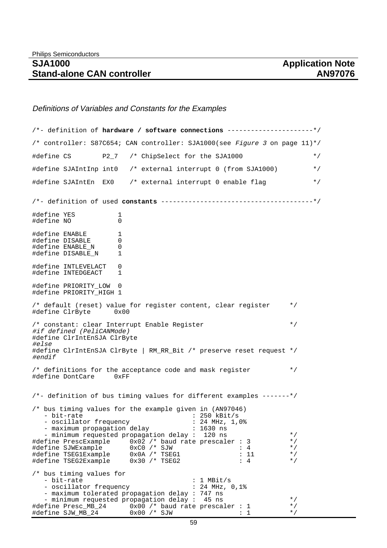#### Definitions of Variables and Constants for the Examples

```
/*- definition of hardware / software connections ----------------------*/
/* controller: S87C654; CAN controller: SJA1000(see Figure 3 on page 11)*/
#define CS P2 7 /* ChipSelect for the SJA1000 */
#define SJAIntInp int0 /* external interrupt 0 (from SJA1000) */
#define SJAIntEn EX0 /* external interrupt 0 enable flag */
/*- definition of used constants ---------------------------------------*/
#define YES 1<br>#define NO 1
#define NO
#define ENABLE 1<br>#define DISABLE 1
#define DISABLE 0<br>#define ENABLE N 0
#define ENABLE_N 0
#define DISABLE N 1
#define INTLEVELACT 0
#define INTEDGEACT 1
#define PRIORITY_LOW 0
#define PRIORITY_HIGH 1
/* default (reset) value for register content, clear register */
#define ClrByte
/* constant: clear Interrupt Enable Register */
#if defined (PeliCANMode)
#define ClrIntEnSJA ClrByte
#else
#define ClrIntEnSJA ClrByte | RM_RR_Bit /* preserve reset request */
#endif
/* definitions for the acceptance code and mask register */<br>#define DontCare (0xEE)
#define DontCare
/*- definition of bus timing values for different examples -------*/
/* bus timing values for the example given in (AN97046)
  - bit-rate : 250 kBit/s
  - oscillator frequency \begin{array}{ccc} \text{-}\quad \text{oscillator} & \text{frequency} \\ \text{-}\quad \text{maximum} & \text{propagation delay} \end{array} : 1630 ns
  - maximum propagation delay
   - minimum requested propagation delay : 120 ns
#define PrescExample 0x02 /* baud rate prescaler : 3 */
#define SJWExample 0xC0 /* SJW : 4 */
#define TSEG1Example 0x0A /* TSEG1 : 11 */
#define TSEG2Example 0x30 /* TSEG2 : 4 */
/* bus timing values for
  - bit-rate : 1 MBit/s
  - oscillator frequency : 24 MHz, 0,1%
   - maximum tolerated propagation delay : 747 ns
   - minimum requested propagation delay : 45 ns */
#define Presc_MB_24 0x00 /* baud rate prescaler : 1<br>#define SJW_MB_24 0x00 /* SJW : 1
#define SJW_MB_24 0x00 /* SJW : 1 */
```